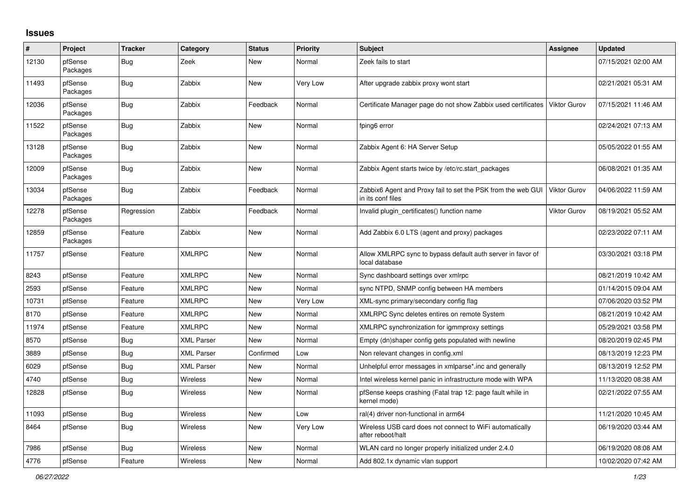## **Issues**

| #     | Project             | <b>Tracker</b> | Category          | <b>Status</b> | <b>Priority</b> | <b>Subject</b>                                                                    | Assignee            | <b>Updated</b>      |
|-------|---------------------|----------------|-------------------|---------------|-----------------|-----------------------------------------------------------------------------------|---------------------|---------------------|
| 12130 | pfSense<br>Packages | Bug            | Zeek              | New           | Normal          | Zeek fails to start                                                               |                     | 07/15/2021 02:00 AM |
| 11493 | pfSense<br>Packages | <b>Bug</b>     | Zabbix            | New           | Very Low        | After upgrade zabbix proxy wont start                                             |                     | 02/21/2021 05:31 AM |
| 12036 | pfSense<br>Packages | Bug            | Zabbix            | Feedback      | Normal          | Certificate Manager page do not show Zabbix used certificates                     | <b>Viktor Gurov</b> | 07/15/2021 11:46 AM |
| 11522 | pfSense<br>Packages | <b>Bug</b>     | Zabbix            | <b>New</b>    | Normal          | fping6 error                                                                      |                     | 02/24/2021 07:13 AM |
| 13128 | pfSense<br>Packages | Bug            | Zabbix            | <b>New</b>    | Normal          | Zabbix Agent 6: HA Server Setup                                                   |                     | 05/05/2022 01:55 AM |
| 12009 | pfSense<br>Packages | <b>Bug</b>     | Zabbix            | <b>New</b>    | Normal          | Zabbix Agent starts twice by /etc/rc.start packages                               |                     | 06/08/2021 01:35 AM |
| 13034 | pfSense<br>Packages | Bug            | Zabbix            | Feedback      | Normal          | Zabbix6 Agent and Proxy fail to set the PSK from the web GUI<br>in its conf files | <b>Viktor Gurov</b> | 04/06/2022 11:59 AM |
| 12278 | pfSense<br>Packages | Regression     | Zabbix            | Feedback      | Normal          | Invalid plugin certificates() function name                                       | <b>Viktor Gurov</b> | 08/19/2021 05:52 AM |
| 12859 | pfSense<br>Packages | Feature        | Zabbix            | New           | Normal          | Add Zabbix 6.0 LTS (agent and proxy) packages                                     |                     | 02/23/2022 07:11 AM |
| 11757 | pfSense             | Feature        | <b>XMLRPC</b>     | New           | Normal          | Allow XMLRPC sync to bypass default auth server in favor of<br>local database     |                     | 03/30/2021 03:18 PM |
| 8243  | pfSense             | Feature        | <b>XMLRPC</b>     | New           | Normal          | Sync dashboard settings over xmlrpc                                               |                     | 08/21/2019 10:42 AM |
| 2593  | pfSense             | Feature        | <b>XMLRPC</b>     | <b>New</b>    | Normal          | sync NTPD, SNMP config between HA members                                         |                     | 01/14/2015 09:04 AM |
| 10731 | pfSense             | Feature        | <b>XMLRPC</b>     | New           | Very Low        | XML-sync primary/secondary config flag                                            |                     | 07/06/2020 03:52 PM |
| 8170  | pfSense             | Feature        | <b>XMLRPC</b>     | New           | Normal          | XMLRPC Sync deletes entires on remote System                                      |                     | 08/21/2019 10:42 AM |
| 11974 | pfSense             | Feature        | <b>XMLRPC</b>     | New           | Normal          | XMLRPC synchronization for igmmproxy settings                                     |                     | 05/29/2021 03:58 PM |
| 8570  | pfSense             | <b>Bug</b>     | <b>XML Parser</b> | New           | Normal          | Empty (dn)shaper config gets populated with newline                               |                     | 08/20/2019 02:45 PM |
| 3889  | pfSense             | <b>Bug</b>     | <b>XML Parser</b> | Confirmed     | Low             | Non relevant changes in config.xml                                                |                     | 08/13/2019 12:23 PM |
| 6029  | pfSense             | <b>Bug</b>     | <b>XML Parser</b> | New           | Normal          | Unhelpful error messages in xmlparse*.inc and generally                           |                     | 08/13/2019 12:52 PM |
| 4740  | pfSense             | <b>Bug</b>     | Wireless          | New           | Normal          | Intel wireless kernel panic in infrastructure mode with WPA                       |                     | 11/13/2020 08:38 AM |
| 12828 | pfSense             | <b>Bug</b>     | <b>Wireless</b>   | New           | Normal          | pfSense keeps crashing (Fatal trap 12: page fault while in<br>kernel mode)        |                     | 02/21/2022 07:55 AM |
| 11093 | pfSense             | Bug            | Wireless          | New           | Low             | ral(4) driver non-functional in arm64                                             |                     | 11/21/2020 10:45 AM |
| 8464  | pfSense             | Bug            | Wireless          | New           | Very Low        | Wireless USB card does not connect to WiFi automatically<br>after reboot/halt     |                     | 06/19/2020 03:44 AM |
| 7986  | pfSense             | <b>Bug</b>     | <b>Wireless</b>   | New           | Normal          | WLAN card no longer properly initialized under 2.4.0                              |                     | 06/19/2020 08:08 AM |
| 4776  | pfSense             | Feature        | Wireless          | New           | Normal          | Add 802.1x dynamic vlan support                                                   |                     | 10/02/2020 07:42 AM |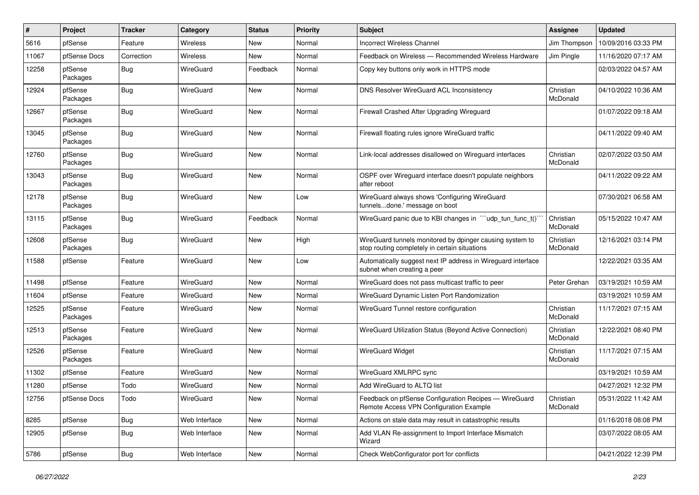| $\#$  | Project             | <b>Tracker</b> | Category      | <b>Status</b> | <b>Priority</b> | <b>Subject</b>                                                                                            | <b>Assignee</b>       | <b>Updated</b>      |
|-------|---------------------|----------------|---------------|---------------|-----------------|-----------------------------------------------------------------------------------------------------------|-----------------------|---------------------|
| 5616  | pfSense             | Feature        | Wireless      | New           | Normal          | <b>Incorrect Wireless Channel</b>                                                                         | Jim Thompson          | 10/09/2016 03:33 PM |
| 11067 | pfSense Docs        | Correction     | Wireless      | <b>New</b>    | Normal          | Feedback on Wireless - Recommended Wireless Hardware                                                      | Jim Pingle            | 11/16/2020 07:17 AM |
| 12258 | pfSense<br>Packages | <b>Bug</b>     | WireGuard     | Feedback      | Normal          | Copy key buttons only work in HTTPS mode                                                                  |                       | 02/03/2022 04:57 AM |
| 12924 | pfSense<br>Packages | <b>Bug</b>     | WireGuard     | <b>New</b>    | Normal          | DNS Resolver WireGuard ACL Inconsistency                                                                  | Christian<br>McDonald | 04/10/2022 10:36 AM |
| 12667 | pfSense<br>Packages | <b>Bug</b>     | WireGuard     | New           | Normal          | Firewall Crashed After Upgrading Wireguard                                                                |                       | 01/07/2022 09:18 AM |
| 13045 | pfSense<br>Packages | <b>Bug</b>     | WireGuard     | <b>New</b>    | Normal          | Firewall floating rules ignore WireGuard traffic                                                          |                       | 04/11/2022 09:40 AM |
| 12760 | pfSense<br>Packages | Bug            | WireGuard     | <b>New</b>    | Normal          | Link-local addresses disallowed on Wireguard interfaces                                                   | Christian<br>McDonald | 02/07/2022 03:50 AM |
| 13043 | pfSense<br>Packages | <b>Bug</b>     | WireGuard     | <b>New</b>    | Normal          | OSPF over Wireguard interface doesn't populate neighbors<br>after reboot                                  |                       | 04/11/2022 09:22 AM |
| 12178 | pfSense<br>Packages | <b>Bug</b>     | WireGuard     | <b>New</b>    | Low             | WireGuard always shows 'Configuring WireGuard<br>tunnelsdone.' message on boot                            |                       | 07/30/2021 06:58 AM |
| 13115 | pfSense<br>Packages | <b>Bug</b>     | WireGuard     | Feedback      | Normal          | WireGuard panic due to KBI changes in "'udp tun func t()'                                                 | Christian<br>McDonald | 05/15/2022 10:47 AM |
| 12608 | pfSense<br>Packages | <b>Bug</b>     | WireGuard     | <b>New</b>    | High            | WireGuard tunnels monitored by dpinger causing system to<br>stop routing completely in certain situations | Christian<br>McDonald | 12/16/2021 03:14 PM |
| 11588 | pfSense             | Feature        | WireGuard     | New           | Low             | Automatically suggest next IP address in Wireguard interface<br>subnet when creating a peer               |                       | 12/22/2021 03:35 AM |
| 11498 | pfSense             | Feature        | WireGuard     | <b>New</b>    | Normal          | WireGuard does not pass multicast traffic to peer                                                         | Peter Grehan          | 03/19/2021 10:59 AM |
| 11604 | pfSense             | Feature        | WireGuard     | <b>New</b>    | Normal          | WireGuard Dynamic Listen Port Randomization                                                               |                       | 03/19/2021 10:59 AM |
| 12525 | pfSense<br>Packages | Feature        | WireGuard     | New           | Normal          | WireGuard Tunnel restore configuration                                                                    | Christian<br>McDonald | 11/17/2021 07:15 AM |
| 12513 | pfSense<br>Packages | Feature        | WireGuard     | <b>New</b>    | Normal          | WireGuard Utilization Status (Beyond Active Connection)                                                   | Christian<br>McDonald | 12/22/2021 08:40 PM |
| 12526 | pfSense<br>Packages | Feature        | WireGuard     | New           | Normal          | <b>WireGuard Widget</b>                                                                                   | Christian<br>McDonald | 11/17/2021 07:15 AM |
| 11302 | pfSense             | Feature        | WireGuard     | <b>New</b>    | Normal          | WireGuard XMLRPC sync                                                                                     |                       | 03/19/2021 10:59 AM |
| 11280 | pfSense             | Todo           | WireGuard     | New           | Normal          | Add WireGuard to ALTQ list                                                                                |                       | 04/27/2021 12:32 PM |
| 12756 | pfSense Docs        | Todo           | WireGuard     | <b>New</b>    | Normal          | Feedback on pfSense Configuration Recipes - WireGuard<br>Remote Access VPN Configuration Example          | Christian<br>McDonald | 05/31/2022 11:42 AM |
| 8285  | pfSense             | <b>Bug</b>     | Web Interface | New           | Normal          | Actions on stale data may result in catastrophic results                                                  |                       | 01/16/2018 08:08 PM |
| 12905 | pfSense             | Bug            | Web Interface | New           | Normal          | Add VLAN Re-assignment to Import Interface Mismatch<br>Wizard                                             |                       | 03/07/2022 08:05 AM |
| 5786  | pfSense             | Bug            | Web Interface | New           | Normal          | Check WebConfigurator port for conflicts                                                                  |                       | 04/21/2022 12:39 PM |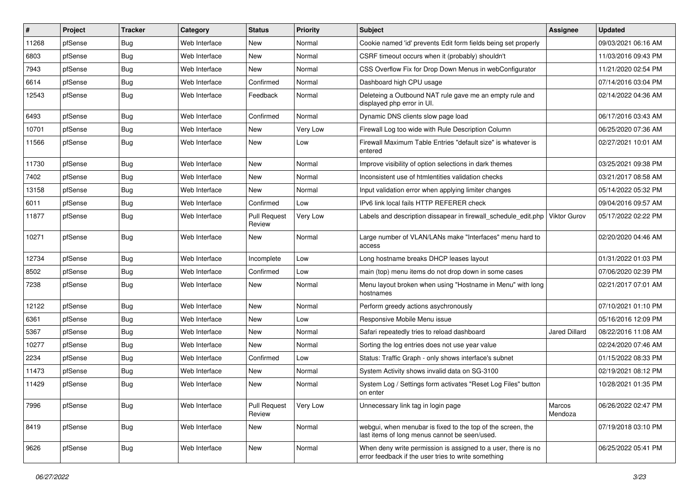| $\vert$ # | Project | <b>Tracker</b> | Category      | <b>Status</b>                 | <b>Priority</b> | Subject                                                                                                              | <b>Assignee</b>     | <b>Updated</b>      |
|-----------|---------|----------------|---------------|-------------------------------|-----------------|----------------------------------------------------------------------------------------------------------------------|---------------------|---------------------|
| 11268     | pfSense | Bug            | Web Interface | New                           | Normal          | Cookie named 'id' prevents Edit form fields being set properly                                                       |                     | 09/03/2021 06:16 AM |
| 6803      | pfSense | <b>Bug</b>     | Web Interface | New                           | Normal          | CSRF timeout occurs when it (probably) shouldn't                                                                     |                     | 11/03/2016 09:43 PM |
| 7943      | pfSense | <b>Bug</b>     | Web Interface | New                           | Normal          | CSS Overflow Fix for Drop Down Menus in webConfigurator                                                              |                     | 11/21/2020 02:54 PM |
| 6614      | pfSense | <b>Bug</b>     | Web Interface | Confirmed                     | Normal          | Dashboard high CPU usage                                                                                             |                     | 07/14/2016 03:04 PM |
| 12543     | pfSense | <b>Bug</b>     | Web Interface | Feedback                      | Normal          | Deleteing a Outbound NAT rule gave me an empty rule and<br>displayed php error in UI.                                |                     | 02/14/2022 04:36 AM |
| 6493      | pfSense | <b>Bug</b>     | Web Interface | Confirmed                     | Normal          | Dynamic DNS clients slow page load                                                                                   |                     | 06/17/2016 03:43 AM |
| 10701     | pfSense | <b>Bug</b>     | Web Interface | New                           | Very Low        | Firewall Log too wide with Rule Description Column                                                                   |                     | 06/25/2020 07:36 AM |
| 11566     | pfSense | <b>Bug</b>     | Web Interface | <b>New</b>                    | Low             | Firewall Maximum Table Entries "default size" is whatever is<br>entered                                              |                     | 02/27/2021 10:01 AM |
| 11730     | pfSense | <b>Bug</b>     | Web Interface | New                           | Normal          | Improve visibility of option selections in dark themes                                                               |                     | 03/25/2021 09:38 PM |
| 7402      | pfSense | <b>Bug</b>     | Web Interface | New                           | Normal          | Inconsistent use of htmlentities validation checks                                                                   |                     | 03/21/2017 08:58 AM |
| 13158     | pfSense | <b>Bug</b>     | Web Interface | New                           | Normal          | Input validation error when applying limiter changes                                                                 |                     | 05/14/2022 05:32 PM |
| 6011      | pfSense | <b>Bug</b>     | Web Interface | Confirmed                     | Low             | IPv6 link local fails HTTP REFERER check                                                                             |                     | 09/04/2016 09:57 AM |
| 11877     | pfSense | Bug            | Web Interface | <b>Pull Request</b><br>Review | Very Low        | Labels and description dissapear in firewall_schedule_edit.php                                                       | <b>Viktor Gurov</b> | 05/17/2022 02:22 PM |
| 10271     | pfSense | <b>Bug</b>     | Web Interface | New                           | Normal          | Large number of VLAN/LANs make "Interfaces" menu hard to<br>access                                                   |                     | 02/20/2020 04:46 AM |
| 12734     | pfSense | <b>Bug</b>     | Web Interface | Incomplete                    | Low             | Long hostname breaks DHCP leases layout                                                                              |                     | 01/31/2022 01:03 PM |
| 8502      | pfSense | <b>Bug</b>     | Web Interface | Confirmed                     | Low             | main (top) menu items do not drop down in some cases                                                                 |                     | 07/06/2020 02:39 PM |
| 7238      | pfSense | <b>Bug</b>     | Web Interface | New                           | Normal          | Menu layout broken when using "Hostname in Menu" with long<br>hostnames                                              |                     | 02/21/2017 07:01 AM |
| 12122     | pfSense | <b>Bug</b>     | Web Interface | New                           | Normal          | Perform greedy actions asychronously                                                                                 |                     | 07/10/2021 01:10 PM |
| 6361      | pfSense | <b>Bug</b>     | Web Interface | New                           | Low             | Responsive Mobile Menu issue                                                                                         |                     | 05/16/2016 12:09 PM |
| 5367      | pfSense | <b>Bug</b>     | Web Interface | <b>New</b>                    | Normal          | Safari repeatedly tries to reload dashboard                                                                          | Jared Dillard       | 08/22/2016 11:08 AM |
| 10277     | pfSense | <b>Bug</b>     | Web Interface | New                           | Normal          | Sorting the log entries does not use year value                                                                      |                     | 02/24/2020 07:46 AM |
| 2234      | pfSense | Bug            | Web Interface | Confirmed                     | Low             | Status: Traffic Graph - only shows interface's subnet                                                                |                     | 01/15/2022 08:33 PM |
| 11473     | pfSense | Bug            | Web Interface | New                           | Normal          | System Activity shows invalid data on SG-3100                                                                        |                     | 02/19/2021 08:12 PM |
| 11429     | pfSense | <b>Bug</b>     | Web Interface | <b>New</b>                    | Normal          | System Log / Settings form activates "Reset Log Files" button<br>on enter                                            |                     | 10/28/2021 01:35 PM |
| 7996      | pfSense | <b>Bug</b>     | Web Interface | <b>Pull Request</b><br>Review | Very Low        | Unnecessary link tag in login page                                                                                   | Marcos<br>Mendoza   | 06/26/2022 02:47 PM |
| 8419      | pfSense | <b>Bug</b>     | Web Interface | New                           | Normal          | webgui, when menubar is fixed to the top of the screen, the<br>last items of long menus cannot be seen/used.         |                     | 07/19/2018 03:10 PM |
| 9626      | pfSense | <b>Bug</b>     | Web Interface | New                           | Normal          | When deny write permission is assigned to a user, there is no<br>error feedback if the user tries to write something |                     | 06/25/2022 05:41 PM |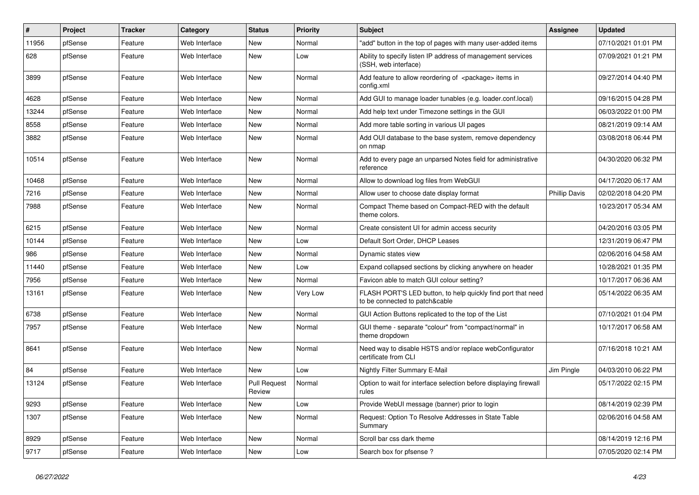| #     | Project | <b>Tracker</b> | Category      | <b>Status</b>                 | <b>Priority</b> | Subject                                                                                        | Assignee             | <b>Updated</b>      |
|-------|---------|----------------|---------------|-------------------------------|-----------------|------------------------------------------------------------------------------------------------|----------------------|---------------------|
| 11956 | pfSense | Feature        | Web Interface | New                           | Normal          | "add" button in the top of pages with many user-added items                                    |                      | 07/10/2021 01:01 PM |
| 628   | pfSense | Feature        | Web Interface | New                           | Low             | Ability to specify listen IP address of management services<br>(SSH, web interface)            |                      | 07/09/2021 01:21 PM |
| 3899  | pfSense | Feature        | Web Interface | New                           | Normal          | Add feature to allow reordering of <package> items in<br/>config.xml</package>                 |                      | 09/27/2014 04:40 PM |
| 4628  | pfSense | Feature        | Web Interface | New                           | Normal          | Add GUI to manage loader tunables (e.g. loader.conf.local)                                     |                      | 09/16/2015 04:28 PM |
| 13244 | pfSense | Feature        | Web Interface | New                           | Normal          | Add help text under Timezone settings in the GUI                                               |                      | 06/03/2022 01:00 PM |
| 8558  | pfSense | Feature        | Web Interface | New                           | Normal          | Add more table sorting in various UI pages                                                     |                      | 08/21/2019 09:14 AM |
| 3882  | pfSense | Feature        | Web Interface | New                           | Normal          | Add OUI database to the base system, remove dependency<br>on nmap                              |                      | 03/08/2018 06:44 PM |
| 10514 | pfSense | Feature        | Web Interface | New                           | Normal          | Add to every page an unparsed Notes field for administrative<br>reference                      |                      | 04/30/2020 06:32 PM |
| 10468 | pfSense | Feature        | Web Interface | New                           | Normal          | Allow to download log files from WebGUI                                                        |                      | 04/17/2020 06:17 AM |
| 7216  | pfSense | Feature        | Web Interface | New                           | Normal          | Allow user to choose date display format                                                       | <b>Phillip Davis</b> | 02/02/2018 04:20 PM |
| 7988  | pfSense | Feature        | Web Interface | New                           | Normal          | Compact Theme based on Compact-RED with the default<br>theme colors.                           |                      | 10/23/2017 05:34 AM |
| 6215  | pfSense | Feature        | Web Interface | New                           | Normal          | Create consistent UI for admin access security                                                 |                      | 04/20/2016 03:05 PM |
| 10144 | pfSense | Feature        | Web Interface | New                           | Low             | Default Sort Order, DHCP Leases                                                                |                      | 12/31/2019 06:47 PM |
| 986   | pfSense | Feature        | Web Interface | New                           | Normal          | Dynamic states view                                                                            |                      | 02/06/2016 04:58 AM |
| 11440 | pfSense | Feature        | Web Interface | New                           | Low             | Expand collapsed sections by clicking anywhere on header                                       |                      | 10/28/2021 01:35 PM |
| 7956  | pfSense | Feature        | Web Interface | New                           | Normal          | Favicon able to match GUI colour setting?                                                      |                      | 10/17/2017 06:36 AM |
| 13161 | pfSense | Feature        | Web Interface | New                           | Very Low        | FLASH PORT'S LED button, to help quickly find port that need<br>to be connected to patch&cable |                      | 05/14/2022 06:35 AM |
| 6738  | pfSense | Feature        | Web Interface | <b>New</b>                    | Normal          | GUI Action Buttons replicated to the top of the List                                           |                      | 07/10/2021 01:04 PM |
| 7957  | pfSense | Feature        | Web Interface | New                           | Normal          | GUI theme - separate "colour" from "compact/normal" in<br>theme dropdown                       |                      | 10/17/2017 06:58 AM |
| 8641  | pfSense | Feature        | Web Interface | New                           | Normal          | Need way to disable HSTS and/or replace webConfigurator<br>certificate from CLI                |                      | 07/16/2018 10:21 AM |
| 84    | pfSense | Feature        | Web Interface | New                           | Low             | Nightly Filter Summary E-Mail                                                                  | Jim Pingle           | 04/03/2010 06:22 PM |
| 13124 | pfSense | Feature        | Web Interface | <b>Pull Request</b><br>Review | Normal          | Option to wait for interface selection before displaying firewall<br>rules                     |                      | 05/17/2022 02:15 PM |
| 9293  | pfSense | Feature        | Web Interface | New                           | Low             | Provide WebUI message (banner) prior to login                                                  |                      | 08/14/2019 02:39 PM |
| 1307  | pfSense | Feature        | Web Interface | New                           | Normal          | Request: Option To Resolve Addresses in State Table<br>Summary                                 |                      | 02/06/2016 04:58 AM |
| 8929  | pfSense | Feature        | Web Interface | <b>New</b>                    | Normal          | Scroll bar css dark theme                                                                      |                      | 08/14/2019 12:16 PM |
| 9717  | pfSense | Feature        | Web Interface | New                           | Low             | Search box for pfsense?                                                                        |                      | 07/05/2020 02:14 PM |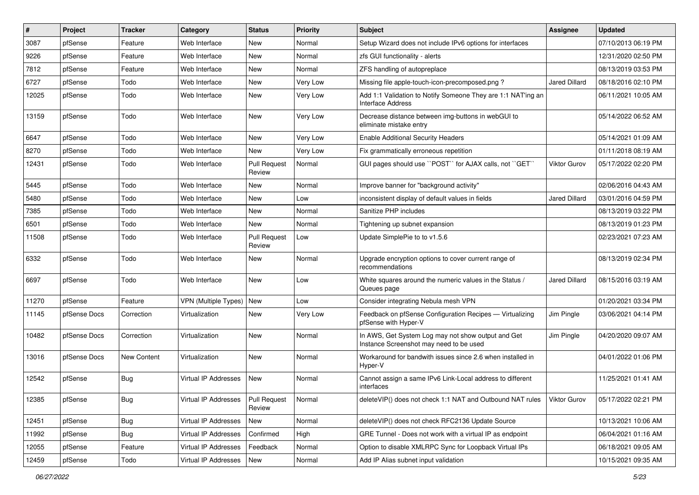| $\sharp$ | Project      | <b>Tracker</b> | Category                    | <b>Status</b>                 | <b>Priority</b> | <b>Subject</b>                                                                                | <b>Assignee</b>      | <b>Updated</b>      |
|----------|--------------|----------------|-----------------------------|-------------------------------|-----------------|-----------------------------------------------------------------------------------------------|----------------------|---------------------|
| 3087     | pfSense      | Feature        | Web Interface               | New                           | Normal          | Setup Wizard does not include IPv6 options for interfaces                                     |                      | 07/10/2013 06:19 PM |
| 9226     | pfSense      | Feature        | Web Interface               | New                           | Normal          | zfs GUI functionality - alerts                                                                |                      | 12/31/2020 02:50 PM |
| 7812     | pfSense      | Feature        | Web Interface               | New                           | Normal          | ZFS handling of autopreplace                                                                  |                      | 08/13/2019 03:53 PM |
| 6727     | pfSense      | Todo           | Web Interface               | New                           | Very Low        | Missing file apple-touch-icon-precomposed.png?                                                | <b>Jared Dillard</b> | 08/18/2016 02:10 PM |
| 12025    | pfSense      | Todo           | Web Interface               | New                           | Very Low        | Add 1:1 Validation to Notify Someone They are 1:1 NAT'ing an<br>Interface Address             |                      | 06/11/2021 10:05 AM |
| 13159    | pfSense      | Todo           | Web Interface               | New                           | Very Low        | Decrease distance between img-buttons in webGUI to<br>eliminate mistake entry                 |                      | 05/14/2022 06:52 AM |
| 6647     | pfSense      | Todo           | Web Interface               | New                           | Very Low        | <b>Enable Additional Security Headers</b>                                                     |                      | 05/14/2021 01:09 AM |
| 8270     | pfSense      | Todo           | Web Interface               | New                           | Very Low        | Fix grammatically erroneous repetition                                                        |                      | 01/11/2018 08:19 AM |
| 12431    | pfSense      | Todo           | Web Interface               | <b>Pull Request</b><br>Review | Normal          | GUI pages should use "POST" for AJAX calls, not "GET"                                         | <b>Viktor Gurov</b>  | 05/17/2022 02:20 PM |
| 5445     | pfSense      | Todo           | Web Interface               | <b>New</b>                    | Normal          | Improve banner for "background activity"                                                      |                      | 02/06/2016 04:43 AM |
| 5480     | pfSense      | Todo           | Web Interface               | New                           | Low             | inconsistent display of default values in fields                                              | <b>Jared Dillard</b> | 03/01/2016 04:59 PM |
| 7385     | pfSense      | Todo           | Web Interface               | New                           | Normal          | Sanitize PHP includes                                                                         |                      | 08/13/2019 03:22 PM |
| 6501     | pfSense      | Todo           | Web Interface               | New                           | Normal          | Tightening up subnet expansion                                                                |                      | 08/13/2019 01:23 PM |
| 11508    | pfSense      | Todo           | Web Interface               | <b>Pull Request</b><br>Review | Low             | Update SimplePie to to v1.5.6                                                                 |                      | 02/23/2021 07:23 AM |
| 6332     | pfSense      | Todo           | Web Interface               | New                           | Normal          | Upgrade encryption options to cover current range of<br>recommendations                       |                      | 08/13/2019 02:34 PM |
| 6697     | pfSense      | Todo           | Web Interface               | New                           | Low             | White squares around the numeric values in the Status /<br>Queues page                        | <b>Jared Dillard</b> | 08/15/2016 03:19 AM |
| 11270    | pfSense      | Feature        | <b>VPN</b> (Multiple Types) | New                           | Low             | Consider integrating Nebula mesh VPN                                                          |                      | 01/20/2021 03:34 PM |
| 11145    | pfSense Docs | Correction     | Virtualization              | New                           | Very Low        | Feedback on pfSense Configuration Recipes - Virtualizing<br>pfSense with Hyper-V              | Jim Pingle           | 03/06/2021 04:14 PM |
| 10482    | pfSense Docs | Correction     | Virtualization              | New                           | Normal          | In AWS, Get System Log may not show output and Get<br>Instance Screenshot may need to be used | Jim Pingle           | 04/20/2020 09:07 AM |
| 13016    | pfSense Docs | New Content    | Virtualization              | New                           | Normal          | Workaround for bandwith issues since 2.6 when installed in<br>Hyper-V                         |                      | 04/01/2022 01:06 PM |
| 12542    | pfSense      | <b>Bug</b>     | Virtual IP Addresses        | New                           | Normal          | Cannot assign a same IPv6 Link-Local address to different<br>interfaces                       |                      | 11/25/2021 01:41 AM |
| 12385    | pfSense      | <b>Bug</b>     | Virtual IP Addresses        | Pull Request<br>Review        | Normal          | deleteVIP() does not check 1:1 NAT and Outbound NAT rules                                     | Viktor Gurov         | 05/17/2022 02:21 PM |
| 12451    | pfSense      | <b>Bug</b>     | Virtual IP Addresses        | New                           | Normal          | deleteVIP() does not check RFC2136 Update Source                                              |                      | 10/13/2021 10:06 AM |
| 11992    | pfSense      | <b>Bug</b>     | Virtual IP Addresses        | Confirmed                     | High            | GRE Tunnel - Does not work with a virtual IP as endpoint                                      |                      | 06/04/2021 01:16 AM |
| 12055    | pfSense      | Feature        | Virtual IP Addresses        | Feedback                      | Normal          | Option to disable XMLRPC Sync for Loopback Virtual IPs                                        |                      | 06/18/2021 09:05 AM |
| 12459    | pfSense      | Todo           | Virtual IP Addresses        | New                           | Normal          | Add IP Alias subnet input validation                                                          |                      | 10/15/2021 09:35 AM |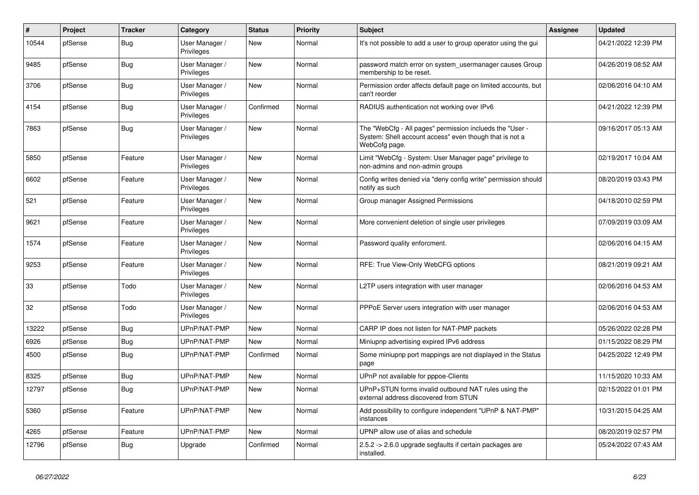| #     | Project | <b>Tracker</b> | Category                     | <b>Status</b> | Priority | <b>Subject</b>                                                                                                                       | Assignee | <b>Updated</b>      |
|-------|---------|----------------|------------------------------|---------------|----------|--------------------------------------------------------------------------------------------------------------------------------------|----------|---------------------|
| 10544 | pfSense | <b>Bug</b>     | User Manager /<br>Privileges | <b>New</b>    | Normal   | It's not possible to add a user to group operator using the gui                                                                      |          | 04/21/2022 12:39 PM |
| 9485  | pfSense | <b>Bug</b>     | User Manager /<br>Privileges | <b>New</b>    | Normal   | password match error on system usermanager causes Group<br>membership to be reset.                                                   |          | 04/26/2019 08:52 AM |
| 3706  | pfSense | <b>Bug</b>     | User Manager /<br>Privileges | <b>New</b>    | Normal   | Permission order affects default page on limited accounts, but<br>can't reorder                                                      |          | 02/06/2016 04:10 AM |
| 4154  | pfSense | <b>Bug</b>     | User Manager /<br>Privileges | Confirmed     | Normal   | RADIUS authentication not working over IPv6                                                                                          |          | 04/21/2022 12:39 PM |
| 7863  | pfSense | <b>Bug</b>     | User Manager /<br>Privileges | <b>New</b>    | Normal   | The "WebCfg - All pages" permission inclueds the "User -<br>System: Shell account access" even though that is not a<br>WebCofg page. |          | 09/16/2017 05:13 AM |
| 5850  | pfSense | Feature        | User Manager /<br>Privileges | New           | Normal   | Limit "WebCfg - System: User Manager page" privilege to<br>non-admins and non-admin groups                                           |          | 02/19/2017 10:04 AM |
| 6602  | pfSense | Feature        | User Manager /<br>Privileges | <b>New</b>    | Normal   | Config writes denied via "deny config write" permission should<br>notify as such                                                     |          | 08/20/2019 03:43 PM |
| 521   | pfSense | Feature        | User Manager /<br>Privileges | <b>New</b>    | Normal   | Group manager Assigned Permissions                                                                                                   |          | 04/18/2010 02:59 PM |
| 9621  | pfSense | Feature        | User Manager /<br>Privileges | New           | Normal   | More convenient deletion of single user privileges                                                                                   |          | 07/09/2019 03:09 AM |
| 1574  | pfSense | Feature        | User Manager /<br>Privileges | <b>New</b>    | Normal   | Password quality enforcment.                                                                                                         |          | 02/06/2016 04:15 AM |
| 9253  | pfSense | Feature        | User Manager /<br>Privileges | <b>New</b>    | Normal   | RFE: True View-Only WebCFG options                                                                                                   |          | 08/21/2019 09:21 AM |
| 33    | pfSense | Todo           | User Manager /<br>Privileges | New           | Normal   | L2TP users integration with user manager                                                                                             |          | 02/06/2016 04:53 AM |
| 32    | pfSense | Todo           | User Manager /<br>Privileges | <b>New</b>    | Normal   | PPPoE Server users integration with user manager                                                                                     |          | 02/06/2016 04:53 AM |
| 13222 | pfSense | <b>Bug</b>     | UPnP/NAT-PMP                 | New           | Normal   | CARP IP does not listen for NAT-PMP packets                                                                                          |          | 05/26/2022 02:28 PM |
| 6926  | pfSense | Bug            | UPnP/NAT-PMP                 | <b>New</b>    | Normal   | Miniupnp advertising expired IPv6 address                                                                                            |          | 01/15/2022 08:29 PM |
| 4500  | pfSense | Bug            | UPnP/NAT-PMP                 | Confirmed     | Normal   | Some miniupnp port mappings are not displayed in the Status<br>page                                                                  |          | 04/25/2022 12:49 PM |
| 8325  | pfSense | Bug            | UPnP/NAT-PMP                 | New           | Normal   | UPnP not available for pppoe-Clients                                                                                                 |          | 11/15/2020 10:33 AM |
| 12797 | pfSense | Bug            | UPnP/NAT-PMP                 | New           | Normal   | UPnP+STUN forms invalid outbound NAT rules using the<br>external address discovered from STUN                                        |          | 02/15/2022 01:01 PM |
| 5360  | pfSense | Feature        | UPnP/NAT-PMP                 | <b>New</b>    | Normal   | Add possibility to configure independent "UPnP & NAT-PMP"<br>instances                                                               |          | 10/31/2015 04:25 AM |
| 4265  | pfSense | Feature        | UPnP/NAT-PMP                 | New           | Normal   | UPNP allow use of alias and schedule                                                                                                 |          | 08/20/2019 02:57 PM |
| 12796 | pfSense | <b>Bug</b>     | Upgrade                      | Confirmed     | Normal   | 2.5.2 -> 2.6.0 upgrade segfaults if certain packages are<br>installed.                                                               |          | 05/24/2022 07:43 AM |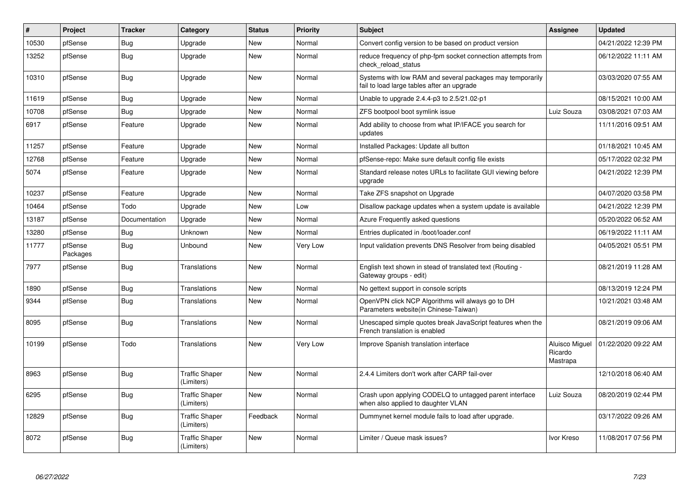| #     | Project             | <b>Tracker</b> | Category                            | <b>Status</b> | <b>Priority</b> | <b>Subject</b>                                                                                          | Assignee                                     | <b>Updated</b>      |
|-------|---------------------|----------------|-------------------------------------|---------------|-----------------|---------------------------------------------------------------------------------------------------------|----------------------------------------------|---------------------|
| 10530 | pfSense             | <b>Bug</b>     | Upgrade                             | <b>New</b>    | Normal          | Convert config version to be based on product version                                                   |                                              | 04/21/2022 12:39 PM |
| 13252 | pfSense             | Bug            | Upgrade                             | New           | Normal          | reduce frequency of php-fpm socket connection attempts from<br>check reload status                      |                                              | 06/12/2022 11:11 AM |
| 10310 | pfSense             | <b>Bug</b>     | Upgrade                             | <b>New</b>    | Normal          | Systems with low RAM and several packages may temporarily<br>fail to load large tables after an upgrade |                                              | 03/03/2020 07:55 AM |
| 11619 | pfSense             | Bug            | Upgrade                             | <b>New</b>    | Normal          | Unable to upgrade 2.4.4-p3 to 2.5/21.02-p1                                                              |                                              | 08/15/2021 10:00 AM |
| 10708 | pfSense             | <b>Bug</b>     | Upgrade                             | New           | Normal          | ZFS bootpool boot symlink issue                                                                         | Luiz Souza                                   | 03/08/2021 07:03 AM |
| 6917  | pfSense             | Feature        | Upgrade                             | New           | Normal          | Add ability to choose from what IP/IFACE you search for<br>updates                                      |                                              | 11/11/2016 09:51 AM |
| 11257 | pfSense             | Feature        | Upgrade                             | <b>New</b>    | Normal          | Installed Packages: Update all button                                                                   |                                              | 01/18/2021 10:45 AM |
| 12768 | pfSense             | Feature        | Upgrade                             | <b>New</b>    | Normal          | pfSense-repo: Make sure default config file exists                                                      |                                              | 05/17/2022 02:32 PM |
| 5074  | pfSense             | Feature        | Upgrade                             | New           | Normal          | Standard release notes URLs to facilitate GUI viewing before<br>upgrade                                 |                                              | 04/21/2022 12:39 PM |
| 10237 | pfSense             | Feature        | Upgrade                             | New           | Normal          | Take ZFS snapshot on Upgrade                                                                            |                                              | 04/07/2020 03:58 PM |
| 10464 | pfSense             | Todo           | Upgrade                             | New           | Low             | Disallow package updates when a system update is available                                              |                                              | 04/21/2022 12:39 PM |
| 13187 | pfSense             | Documentation  | Upgrade                             | New           | Normal          | Azure Frequently asked questions                                                                        |                                              | 05/20/2022 06:52 AM |
| 13280 | pfSense             | Bug            | <b>Unknown</b>                      | New           | Normal          | Entries duplicated in /boot/loader.conf                                                                 |                                              | 06/19/2022 11:11 AM |
| 11777 | pfSense<br>Packages | Bug            | <b>Unbound</b>                      | New           | Very Low        | Input validation prevents DNS Resolver from being disabled                                              |                                              | 04/05/2021 05:51 PM |
| 7977  | pfSense             | Bug            | <b>Translations</b>                 | <b>New</b>    | Normal          | English text shown in stead of translated text (Routing -<br>Gateway groups - edit)                     |                                              | 08/21/2019 11:28 AM |
| 1890  | pfSense             | Bug            | <b>Translations</b>                 | <b>New</b>    | Normal          | No gettext support in console scripts                                                                   |                                              | 08/13/2019 12:24 PM |
| 9344  | pfSense             | <b>Bug</b>     | Translations                        | <b>New</b>    | Normal          | OpenVPN click NCP Algorithms will always go to DH<br>Parameters website(in Chinese-Taiwan)              |                                              | 10/21/2021 03:48 AM |
| 8095  | pfSense             | Bug            | Translations                        | <b>New</b>    | Normal          | Unescaped simple quotes break JavaScript features when the<br>French translation is enabled             |                                              | 08/21/2019 09:06 AM |
| 10199 | pfSense             | Todo           | Translations                        | <b>New</b>    | Very Low        | Improve Spanish translation interface                                                                   | <b>Aluisco Miguel</b><br>Ricardo<br>Mastrapa | 01/22/2020 09:22 AM |
| 8963  | pfSense             | Bug            | <b>Traffic Shaper</b><br>(Limiters) | <b>New</b>    | Normal          | 2.4.4 Limiters don't work after CARP fail-over                                                          |                                              | 12/10/2018 06:40 AM |
| 6295  | pfSense             | <b>Bug</b>     | <b>Traffic Shaper</b><br>(Limiters) | <b>New</b>    | Normal          | Crash upon applying CODELQ to untagged parent interface<br>when also applied to daughter VLAN           | Luiz Souza                                   | 08/20/2019 02:44 PM |
| 12829 | pfSense             | Bug            | <b>Traffic Shaper</b><br>(Limiters) | Feedback      | Normal          | Dummynet kernel module fails to load after upgrade.                                                     |                                              | 03/17/2022 09:26 AM |
| 8072  | pfSense             | Bug            | <b>Traffic Shaper</b><br>(Limiters) | <b>New</b>    | Normal          | Limiter / Queue mask issues?                                                                            | Ivor Kreso                                   | 11/08/2017 07:56 PM |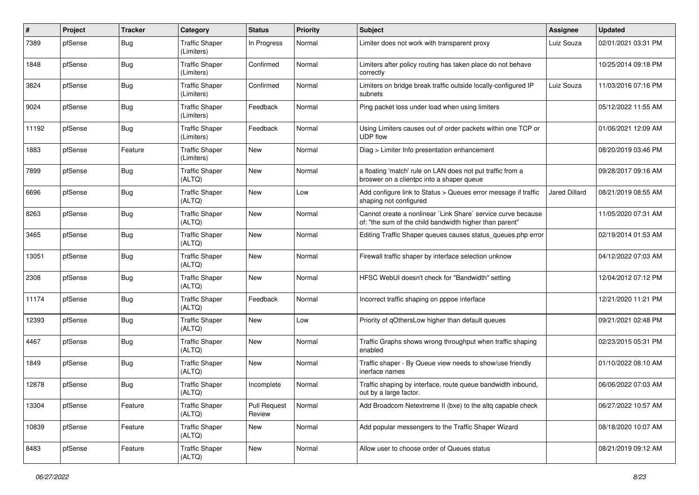| #     | Project | <b>Tracker</b> | Category                            | <b>Status</b>                 | <b>Priority</b> | <b>Subject</b>                                                                                                          | <b>Assignee</b> | <b>Updated</b>      |
|-------|---------|----------------|-------------------------------------|-------------------------------|-----------------|-------------------------------------------------------------------------------------------------------------------------|-----------------|---------------------|
| 7389  | pfSense | <b>Bug</b>     | <b>Traffic Shaper</b><br>(Limiters) | In Progress                   | Normal          | Limiter does not work with transparent proxy                                                                            | Luiz Souza      | 02/01/2021 03:31 PM |
| 1848  | pfSense | <b>Bug</b>     | Traffic Shaper<br>(Limiters)        | Confirmed                     | Normal          | Limiters after policy routing has taken place do not behave<br>correctly                                                |                 | 10/25/2014 09:18 PM |
| 3824  | pfSense | <b>Bug</b>     | <b>Traffic Shaper</b><br>(Limiters) | Confirmed                     | Normal          | Limiters on bridge break traffic outside locally-configured IP<br>subnets                                               | Luiz Souza      | 11/03/2016 07:16 PM |
| 9024  | pfSense | Bug            | <b>Traffic Shaper</b><br>(Limiters) | Feedback                      | Normal          | Ping packet loss under load when using limiters                                                                         |                 | 05/12/2022 11:55 AM |
| 11192 | pfSense | Bug            | <b>Traffic Shaper</b><br>(Limiters) | Feedback                      | Normal          | Using Limiters causes out of order packets within one TCP or<br><b>UDP flow</b>                                         |                 | 01/06/2021 12:09 AM |
| 1883  | pfSense | Feature        | <b>Traffic Shaper</b><br>(Limiters) | New                           | Normal          | Diag > Limiter Info presentation enhancement                                                                            |                 | 08/20/2019 03:46 PM |
| 7899  | pfSense | Bug            | <b>Traffic Shaper</b><br>(ALTQ)     | New                           | Normal          | a floating 'match' rule on LAN does not put traffic from a<br>broswer on a clientpc into a shaper queue                 |                 | 09/28/2017 09:16 AM |
| 6696  | pfSense | Bug            | <b>Traffic Shaper</b><br>(ALTQ)     | New                           | Low             | Add configure link to Status > Queues error message if traffic<br>shaping not configured                                | Jared Dillard   | 08/21/2019 08:55 AM |
| 8263  | pfSense | <b>Bug</b>     | <b>Traffic Shaper</b><br>(ALTQ)     | New                           | Normal          | Cannot create a nonlinear `Link Share` service curve because<br>of: "the sum of the child bandwidth higher than parent" |                 | 11/05/2020 07:31 AM |
| 3465  | pfSense | <b>Bug</b>     | <b>Traffic Shaper</b><br>(ALTQ)     | <b>New</b>                    | Normal          | Editing Traffic Shaper queues causes status_queues.php error                                                            |                 | 02/19/2014 01:53 AM |
| 13051 | pfSense | Bug            | <b>Traffic Shaper</b><br>(ALTQ)     | New                           | Normal          | Firewall traffic shaper by interface selection unknow                                                                   |                 | 04/12/2022 07:03 AM |
| 2308  | pfSense | Bug            | <b>Traffic Shaper</b><br>(ALTQ)     | <b>New</b>                    | Normal          | HFSC WebUI doesn't check for "Bandwidth" setting                                                                        |                 | 12/04/2012 07:12 PM |
| 11174 | pfSense | Bug            | <b>Traffic Shaper</b><br>(ALTQ)     | Feedback                      | Normal          | Incorrect traffic shaping on pppoe interface                                                                            |                 | 12/21/2020 11:21 PM |
| 12393 | pfSense | <b>Bug</b>     | <b>Traffic Shaper</b><br>(ALTQ)     | New                           | Low             | Priority of qOthersLow higher than default queues                                                                       |                 | 09/21/2021 02:48 PM |
| 4467  | pfSense | Bug            | <b>Traffic Shaper</b><br>(ALTQ)     | New                           | Normal          | Traffic Graphs shows wrong throughput when traffic shaping<br>enabled                                                   |                 | 02/23/2015 05:31 PM |
| 1849  | pfSense | <b>Bug</b>     | Traffic Shaper<br>(ALTQ)            | New                           | Normal          | Traffic shaper - By Queue view needs to show/use friendly<br>inerface names                                             |                 | 01/10/2022 08:10 AM |
| 12878 | pfSense | <b>Bug</b>     | <b>Traffic Shaper</b><br>(ALTQ)     | Incomplete                    | Normal          | Traffic shaping by interface, route queue bandwidth inbound,<br>out by a large factor.                                  |                 | 06/06/2022 07:03 AM |
| 13304 | pfSense | Feature        | <b>Traffic Shaper</b><br>(ALTQ)     | <b>Pull Request</b><br>Review | Normal          | Add Broadcom Netextreme II (bxe) to the altg capable check                                                              |                 | 06/27/2022 10:57 AM |
| 10839 | pfSense | Feature        | <b>Traffic Shaper</b><br>(ALTQ)     | New                           | Normal          | Add popular messengers to the Traffic Shaper Wizard                                                                     |                 | 08/18/2020 10:07 AM |
| 8483  | pfSense | Feature        | <b>Traffic Shaper</b><br>(ALTQ)     | New                           | Normal          | Allow user to choose order of Queues status                                                                             |                 | 08/21/2019 09:12 AM |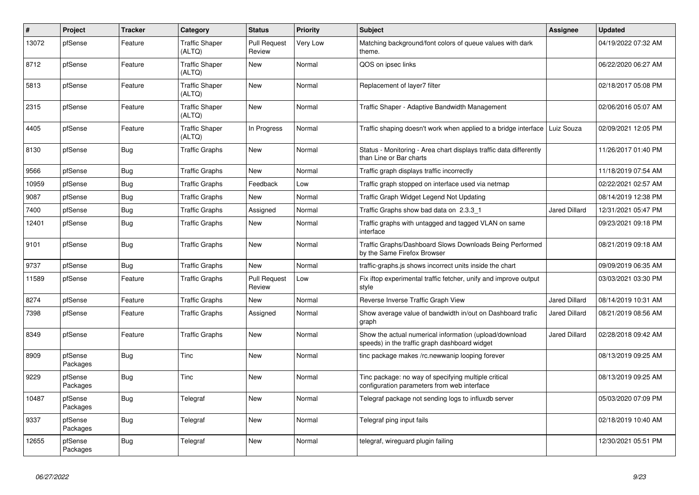| #     | Project             | <b>Tracker</b> | Category                        | <b>Status</b>                 | <b>Priority</b> | <b>Subject</b>                                                                                          | Assignee             | <b>Updated</b>      |
|-------|---------------------|----------------|---------------------------------|-------------------------------|-----------------|---------------------------------------------------------------------------------------------------------|----------------------|---------------------|
| 13072 | pfSense             | Feature        | <b>Traffic Shaper</b><br>(ALTQ) | <b>Pull Request</b><br>Review | Very Low        | Matching background/font colors of queue values with dark<br>theme.                                     |                      | 04/19/2022 07:32 AM |
| 8712  | pfSense             | Feature        | <b>Traffic Shaper</b><br>(ALTQ) | New                           | Normal          | QOS on ipsec links                                                                                      |                      | 06/22/2020 06:27 AM |
| 5813  | pfSense             | Feature        | <b>Traffic Shaper</b><br>(ALTQ) | <b>New</b>                    | Normal          | Replacement of layer7 filter                                                                            |                      | 02/18/2017 05:08 PM |
| 2315  | pfSense             | Feature        | <b>Traffic Shaper</b><br>(ALTQ) | <b>New</b>                    | Normal          | Traffic Shaper - Adaptive Bandwidth Management                                                          |                      | 02/06/2016 05:07 AM |
| 4405  | pfSense             | Feature        | <b>Traffic Shaper</b><br>(ALTQ) | In Progress                   | Normal          | Traffic shaping doesn't work when applied to a bridge interface   Luiz Souza                            |                      | 02/09/2021 12:05 PM |
| 8130  | pfSense             | <b>Bug</b>     | <b>Traffic Graphs</b>           | New                           | Normal          | Status - Monitoring - Area chart displays traffic data differently<br>than Line or Bar charts           |                      | 11/26/2017 01:40 PM |
| 9566  | pfSense             | <b>Bug</b>     | <b>Traffic Graphs</b>           | <b>New</b>                    | Normal          | Traffic graph displays traffic incorrectly                                                              |                      | 11/18/2019 07:54 AM |
| 10959 | pfSense             | Bug            | <b>Traffic Graphs</b>           | Feedback                      | Low             | Traffic graph stopped on interface used via netmap                                                      |                      | 02/22/2021 02:57 AM |
| 9087  | pfSense             | Bug            | Traffic Graphs                  | New                           | Normal          | Traffic Graph Widget Legend Not Updating                                                                |                      | 08/14/2019 12:38 PM |
| 7400  | pfSense             | Bug            | <b>Traffic Graphs</b>           | Assigned                      | Normal          | Traffic Graphs show bad data on 2.3.3 1                                                                 | <b>Jared Dillard</b> | 12/31/2021 05:47 PM |
| 12401 | pfSense             | <b>Bug</b>     | Traffic Graphs                  | New                           | Normal          | Traffic graphs with untagged and tagged VLAN on same<br>interface                                       |                      | 09/23/2021 09:18 PM |
| 9101  | pfSense             | <b>Bug</b>     | <b>Traffic Graphs</b>           | <b>New</b>                    | Normal          | Traffic Graphs/Dashboard Slows Downloads Being Performed<br>by the Same Firefox Browser                 |                      | 08/21/2019 09:18 AM |
| 9737  | pfSense             | Bug            | Traffic Graphs                  | <b>New</b>                    | Normal          | traffic-graphs.js shows incorrect units inside the chart                                                |                      | 09/09/2019 06:35 AM |
| 11589 | pfSense             | Feature        | <b>Traffic Graphs</b>           | <b>Pull Request</b><br>Review | Low             | Fix iftop experimental traffic fetcher, unify and improve output<br>style                               |                      | 03/03/2021 03:30 PM |
| 8274  | pfSense             | Feature        | <b>Traffic Graphs</b>           | New                           | Normal          | Reverse Inverse Traffic Graph View                                                                      | Jared Dillard        | 08/14/2019 10:31 AM |
| 7398  | pfSense             | Feature        | <b>Traffic Graphs</b>           | Assigned                      | Normal          | Show average value of bandwidth in/out on Dashboard trafic<br>graph                                     | <b>Jared Dillard</b> | 08/21/2019 08:56 AM |
| 8349  | pfSense             | Feature        | Traffic Graphs                  | New                           | Normal          | Show the actual numerical information (upload/download<br>speeds) in the traffic graph dashboard widget | <b>Jared Dillard</b> | 02/28/2018 09:42 AM |
| 8909  | pfSense<br>Packages | <b>Bug</b>     | Tinc                            | <b>New</b>                    | Normal          | tinc package makes /rc.newwanip looping forever                                                         |                      | 08/13/2019 09:25 AM |
| 9229  | pfSense<br>Packages | <b>Bug</b>     | <b>Tinc</b>                     | <b>New</b>                    | Normal          | Tinc package: no way of specifying multiple critical<br>configuration parameters from web interface     |                      | 08/13/2019 09:25 AM |
| 10487 | pfSense<br>Packages | <b>Bug</b>     | Telegraf                        | <b>New</b>                    | Normal          | Telegraf package not sending logs to influxdb server                                                    |                      | 05/03/2020 07:09 PM |
| 9337  | pfSense<br>Packages | Bug            | Telegraf                        | New                           | Normal          | Telegraf ping input fails                                                                               |                      | 02/18/2019 10:40 AM |
| 12655 | pfSense<br>Packages | Bug            | Telegraf                        | <b>New</b>                    | Normal          | telegraf, wireguard plugin failing                                                                      |                      | 12/30/2021 05:51 PM |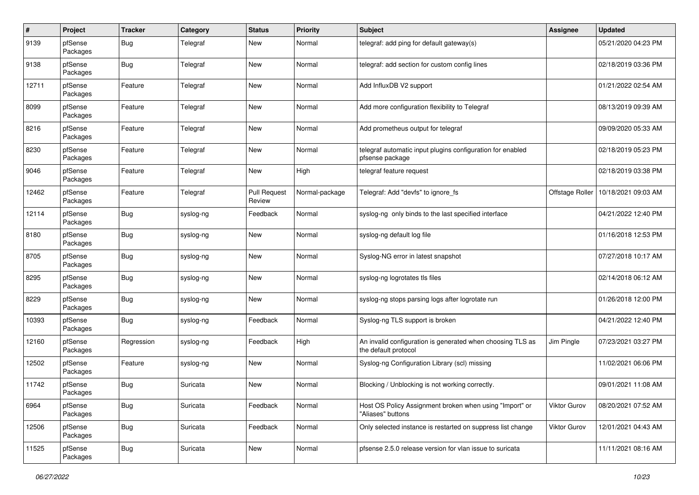| $\pmb{\#}$ | Project             | <b>Tracker</b> | Category  | <b>Status</b>                 | <b>Priority</b> | <b>Subject</b>                                                                     | Assignee            | <b>Updated</b>      |
|------------|---------------------|----------------|-----------|-------------------------------|-----------------|------------------------------------------------------------------------------------|---------------------|---------------------|
| 9139       | pfSense<br>Packages | <b>Bug</b>     | Telegraf  | New                           | Normal          | telegraf: add ping for default gateway(s)                                          |                     | 05/21/2020 04:23 PM |
| 9138       | pfSense<br>Packages | Bug            | Telegraf  | New                           | Normal          | telegraf: add section for custom config lines                                      |                     | 02/18/2019 03:36 PM |
| 12711      | pfSense<br>Packages | Feature        | Telegraf  | <b>New</b>                    | Normal          | Add InfluxDB V2 support                                                            |                     | 01/21/2022 02:54 AM |
| 8099       | pfSense<br>Packages | Feature        | Telegraf  | New                           | Normal          | Add more configuration flexibility to Telegraf                                     |                     | 08/13/2019 09:39 AM |
| 8216       | pfSense<br>Packages | Feature        | Telegraf  | New                           | Normal          | Add prometheus output for telegraf                                                 |                     | 09/09/2020 05:33 AM |
| 8230       | pfSense<br>Packages | Feature        | Telegraf  | New                           | Normal          | telegraf automatic input plugins configuration for enabled<br>pfsense package      |                     | 02/18/2019 05:23 PM |
| 9046       | pfSense<br>Packages | Feature        | Telegraf  | New                           | High            | telegraf feature request                                                           |                     | 02/18/2019 03:38 PM |
| 12462      | pfSense<br>Packages | Feature        | Telegraf  | <b>Pull Request</b><br>Review | Normal-package  | Telegraf: Add "devfs" to ignore fs                                                 | Offstage Roller     | 10/18/2021 09:03 AM |
| 12114      | pfSense<br>Packages | Bug            | syslog-ng | Feedback                      | Normal          | syslog-ng only binds to the last specified interface                               |                     | 04/21/2022 12:40 PM |
| 8180       | pfSense<br>Packages | <b>Bug</b>     | syslog-ng | New                           | Normal          | syslog-ng default log file                                                         |                     | 01/16/2018 12:53 PM |
| 8705       | pfSense<br>Packages | Bug            | syslog-ng | New                           | Normal          | Syslog-NG error in latest snapshot                                                 |                     | 07/27/2018 10:17 AM |
| 8295       | pfSense<br>Packages | Bug            | syslog-ng | New                           | Normal          | syslog-ng logrotates tls files                                                     |                     | 02/14/2018 06:12 AM |
| 8229       | pfSense<br>Packages | <b>Bug</b>     | syslog-ng | New                           | Normal          | syslog-ng stops parsing logs after logrotate run                                   |                     | 01/26/2018 12:00 PM |
| 10393      | pfSense<br>Packages | <b>Bug</b>     | syslog-ng | Feedback                      | Normal          | Syslog-ng TLS support is broken                                                    |                     | 04/21/2022 12:40 PM |
| 12160      | pfSense<br>Packages | Regression     | syslog-ng | Feedback                      | High            | An invalid configuration is generated when choosing TLS as<br>the default protocol | Jim Pingle          | 07/23/2021 03:27 PM |
| 12502      | pfSense<br>Packages | Feature        | syslog-ng | New                           | Normal          | Syslog-ng Configuration Library (scl) missing                                      |                     | 11/02/2021 06:06 PM |
| 11742      | pfSense<br>Packages | <b>Bug</b>     | Suricata  | New                           | Normal          | Blocking / Unblocking is not working correctly.                                    |                     | 09/01/2021 11:08 AM |
| 6964       | pfSense<br>Packages | <b>Bug</b>     | Suricata  | Feedback                      | Normal          | Host OS Policy Assignment broken when using "Import" or<br>"Aliases" buttons       | <b>Viktor Gurov</b> | 08/20/2021 07:52 AM |
| 12506      | pfSense<br>Packages | <b>Bug</b>     | Suricata  | Feedback                      | Normal          | Only selected instance is restarted on suppress list change                        | Viktor Gurov        | 12/01/2021 04:43 AM |
| 11525      | pfSense<br>Packages | <b>Bug</b>     | Suricata  | New                           | Normal          | pfsense 2.5.0 release version for vlan issue to suricata                           |                     | 11/11/2021 08:16 AM |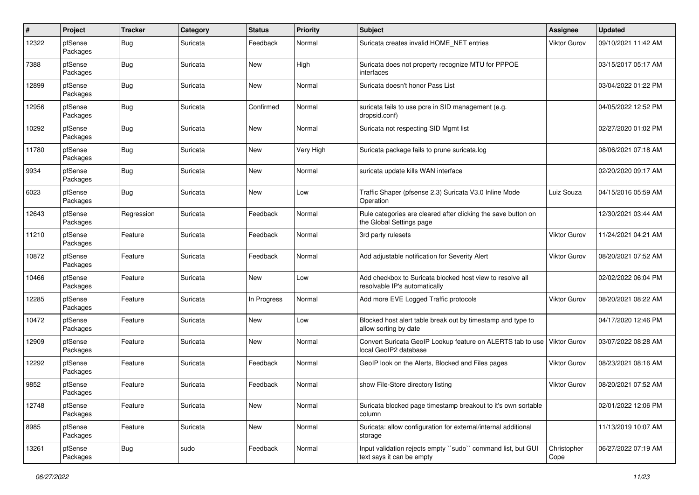| #     | Project             | <b>Tracker</b> | Category | <b>Status</b> | <b>Priority</b> | <b>Subject</b>                                                                             | Assignee            | <b>Updated</b>      |
|-------|---------------------|----------------|----------|---------------|-----------------|--------------------------------------------------------------------------------------------|---------------------|---------------------|
| 12322 | pfSense<br>Packages | <b>Bug</b>     | Suricata | Feedback      | Normal          | Suricata creates invalid HOME NET entries                                                  | <b>Viktor Gurov</b> | 09/10/2021 11:42 AM |
| 7388  | pfSense<br>Packages | <b>Bug</b>     | Suricata | New           | High            | Suricata does not property recognize MTU for PPPOE<br>interfaces                           |                     | 03/15/2017 05:17 AM |
| 12899 | pfSense<br>Packages | <b>Bug</b>     | Suricata | <b>New</b>    | Normal          | Suricata doesn't honor Pass List                                                           |                     | 03/04/2022 01:22 PM |
| 12956 | pfSense<br>Packages | Bug            | Suricata | Confirmed     | Normal          | suricata fails to use pcre in SID management (e.g.<br>dropsid.conf)                        |                     | 04/05/2022 12:52 PM |
| 10292 | pfSense<br>Packages | <b>Bug</b>     | Suricata | <b>New</b>    | Normal          | Suricata not respecting SID Mgmt list                                                      |                     | 02/27/2020 01:02 PM |
| 11780 | pfSense<br>Packages | <b>Bug</b>     | Suricata | New           | Very High       | Suricata package fails to prune suricata.log                                               |                     | 08/06/2021 07:18 AM |
| 9934  | pfSense<br>Packages | <b>Bug</b>     | Suricata | New           | Normal          | suricata update kills WAN interface                                                        |                     | 02/20/2020 09:17 AM |
| 6023  | pfSense<br>Packages | <b>Bug</b>     | Suricata | New           | Low             | Traffic Shaper (pfsense 2.3) Suricata V3.0 Inline Mode<br>Operation                        | Luiz Souza          | 04/15/2016 05:59 AM |
| 12643 | pfSense<br>Packages | Regression     | Suricata | Feedback      | Normal          | Rule categories are cleared after clicking the save button on<br>the Global Settings page  |                     | 12/30/2021 03:44 AM |
| 11210 | pfSense<br>Packages | Feature        | Suricata | Feedback      | Normal          | 3rd party rulesets                                                                         | Viktor Gurov        | 11/24/2021 04:21 AM |
| 10872 | pfSense<br>Packages | Feature        | Suricata | Feedback      | Normal          | Add adjustable notification for Severity Alert                                             | Viktor Gurov        | 08/20/2021 07:52 AM |
| 10466 | pfSense<br>Packages | Feature        | Suricata | New           | Low             | Add checkbox to Suricata blocked host view to resolve all<br>resolvable IP's automatically |                     | 02/02/2022 06:04 PM |
| 12285 | pfSense<br>Packages | Feature        | Suricata | In Progress   | Normal          | Add more EVE Logged Traffic protocols                                                      | Viktor Gurov        | 08/20/2021 08:22 AM |
| 10472 | pfSense<br>Packages | Feature        | Suricata | <b>New</b>    | Low             | Blocked host alert table break out by timestamp and type to<br>allow sorting by date       |                     | 04/17/2020 12:46 PM |
| 12909 | pfSense<br>Packages | Feature        | Suricata | New           | Normal          | Convert Suricata GeoIP Lookup feature on ALERTS tab to use<br>local GeoIP2 database        | <b>Viktor Gurov</b> | 03/07/2022 08:28 AM |
| 12292 | pfSense<br>Packages | Feature        | Suricata | Feedback      | Normal          | GeoIP look on the Alerts, Blocked and Files pages                                          | <b>Viktor Gurov</b> | 08/23/2021 08:16 AM |
| 9852  | pfSense<br>Packages | Feature        | Suricata | Feedback      | Normal          | show File-Store directory listing                                                          | Viktor Gurov        | 08/20/2021 07:52 AM |
| 12748 | pfSense<br>Packages | Feature        | Suricata | New           | Normal          | Suricata blocked page timestamp breakout to it's own sortable<br>column                    |                     | 02/01/2022 12:06 PM |
| 8985  | pfSense<br>Packages | Feature        | Suricata | <b>New</b>    | Normal          | Suricata: allow configuration for external/internal additional<br>storage                  |                     | 11/13/2019 10:07 AM |
| 13261 | pfSense<br>Packages | <b>Bug</b>     | sudo     | Feedback      | Normal          | Input validation rejects empty "sudo" command list, but GUI<br>text says it can be empty   | Christopher<br>Cope | 06/27/2022 07:19 AM |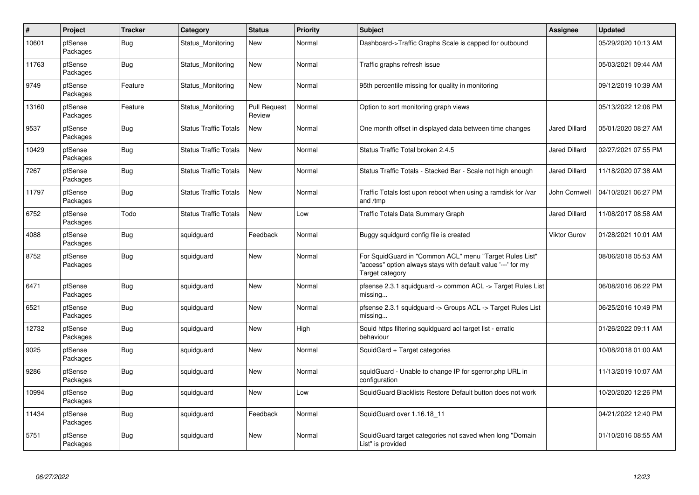| $\vert$ # | Project             | <b>Tracker</b> | Category                     | <b>Status</b>                 | <b>Priority</b> | <b>Subject</b>                                                                                                                             | <b>Assignee</b>      | Updated             |
|-----------|---------------------|----------------|------------------------------|-------------------------------|-----------------|--------------------------------------------------------------------------------------------------------------------------------------------|----------------------|---------------------|
| 10601     | pfSense<br>Packages | Bug            | Status Monitoring            | New                           | Normal          | Dashboard->Traffic Graphs Scale is capped for outbound                                                                                     |                      | 05/29/2020 10:13 AM |
| 11763     | pfSense<br>Packages | <b>Bug</b>     | Status_Monitoring            | New                           | Normal          | Traffic graphs refresh issue                                                                                                               |                      | 05/03/2021 09:44 AM |
| 9749      | pfSense<br>Packages | Feature        | Status Monitoring            | New                           | Normal          | 95th percentile missing for quality in monitoring                                                                                          |                      | 09/12/2019 10:39 AM |
| 13160     | pfSense<br>Packages | Feature        | Status Monitoring            | <b>Pull Request</b><br>Review | Normal          | Option to sort monitoring graph views                                                                                                      |                      | 05/13/2022 12:06 PM |
| 9537      | pfSense<br>Packages | Bug            | <b>Status Traffic Totals</b> | New                           | Normal          | One month offset in displayed data between time changes                                                                                    | <b>Jared Dillard</b> | 05/01/2020 08:27 AM |
| 10429     | pfSense<br>Packages | <b>Bug</b>     | Status Traffic Totals        | New                           | Normal          | Status Traffic Total broken 2.4.5                                                                                                          | Jared Dillard        | 02/27/2021 07:55 PM |
| 7267      | pfSense<br>Packages | <b>Bug</b>     | <b>Status Traffic Totals</b> | New                           | Normal          | Status Traffic Totals - Stacked Bar - Scale not high enough                                                                                | <b>Jared Dillard</b> | 11/18/2020 07:38 AM |
| 11797     | pfSense<br>Packages | <b>Bug</b>     | <b>Status Traffic Totals</b> | New                           | Normal          | Traffic Totals lost upon reboot when using a ramdisk for /var<br>and /tmp                                                                  | John Cornwell        | 04/10/2021 06:27 PM |
| 6752      | pfSense<br>Packages | Todo           | <b>Status Traffic Totals</b> | New                           | Low             | <b>Traffic Totals Data Summary Graph</b>                                                                                                   | Jared Dillard        | 11/08/2017 08:58 AM |
| 4088      | pfSense<br>Packages | Bug            | squidguard                   | Feedback                      | Normal          | Buggy squidgurd config file is created                                                                                                     | <b>Viktor Gurov</b>  | 01/28/2021 10:01 AM |
| 8752      | pfSense<br>Packages | <b>Bug</b>     | squidguard                   | New                           | Normal          | For SquidGuard in "Common ACL" menu "Target Rules List"<br>"access" option always stays with default value '---' for my<br>Target category |                      | 08/06/2018 05:53 AM |
| 6471      | pfSense<br>Packages | <b>Bug</b>     | squidguard                   | New                           | Normal          | pfsense 2.3.1 squidguard -> common ACL -> Target Rules List<br>missing                                                                     |                      | 06/08/2016 06:22 PM |
| 6521      | pfSense<br>Packages | Bug            | squidguard                   | <b>New</b>                    | Normal          | pfsense 2.3.1 squidguard -> Groups ACL -> Target Rules List<br>missing                                                                     |                      | 06/25/2016 10:49 PM |
| 12732     | pfSense<br>Packages | <b>Bug</b>     | squidguard                   | New                           | High            | Squid https filtering squidguard acl target list - erratic<br>behaviour                                                                    |                      | 01/26/2022 09:11 AM |
| 9025      | pfSense<br>Packages | Bug            | squidguard                   | New                           | Normal          | SquidGard + Target categories                                                                                                              |                      | 10/08/2018 01:00 AM |
| 9286      | pfSense<br>Packages | Bug            | squidguard                   | New                           | Normal          | squidGuard - Unable to change IP for sgerror.php URL in<br>configuration                                                                   |                      | 11/13/2019 10:07 AM |
| 10994     | pfSense<br>Packages | <b>Bug</b>     | squidguard                   | <b>New</b>                    | Low             | SquidGuard Blacklists Restore Default button does not work                                                                                 |                      | 10/20/2020 12:26 PM |
| 11434     | pfSense<br>Packages | Bug            | squidguard                   | Feedback                      | Normal          | SquidGuard over 1.16.18 11                                                                                                                 |                      | 04/21/2022 12:40 PM |
| 5751      | pfSense<br>Packages | <b>Bug</b>     | squidguard                   | New                           | Normal          | SquidGuard target categories not saved when long "Domain<br>List" is provided                                                              |                      | 01/10/2016 08:55 AM |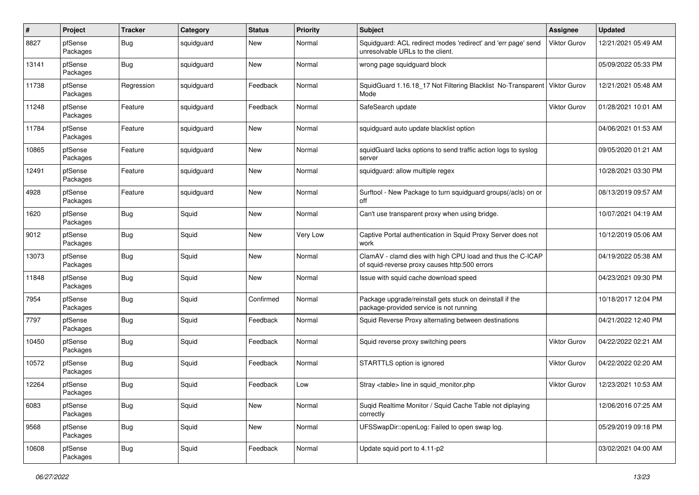| #     | Project             | <b>Tracker</b> | Category   | <b>Status</b> | <b>Priority</b> | Subject                                                                                                     | <b>Assignee</b>     | <b>Updated</b>      |
|-------|---------------------|----------------|------------|---------------|-----------------|-------------------------------------------------------------------------------------------------------------|---------------------|---------------------|
| 8827  | pfSense<br>Packages | Bug            | squidguard | New           | Normal          | Squidguard: ACL redirect modes 'redirect' and 'err page' send<br>unresolvable URLs to the client.           | Viktor Gurov        | 12/21/2021 05:49 AM |
| 13141 | pfSense<br>Packages | <b>Bug</b>     | squidguard | New           | Normal          | wrong page squidguard block                                                                                 |                     | 05/09/2022 05:33 PM |
| 11738 | pfSense<br>Packages | Regression     | squidguard | Feedback      | Normal          | SquidGuard 1.16.18_17 Not Filtering Blacklist No-Transparent<br>Mode                                        | <b>Viktor Gurov</b> | 12/21/2021 05:48 AM |
| 11248 | pfSense<br>Packages | Feature        | squidguard | Feedback      | Normal          | SafeSearch update                                                                                           | Viktor Gurov        | 01/28/2021 10:01 AM |
| 11784 | pfSense<br>Packages | Feature        | squidguard | New           | Normal          | squidguard auto update blacklist option                                                                     |                     | 04/06/2021 01:53 AM |
| 10865 | pfSense<br>Packages | Feature        | squidguard | New           | Normal          | squidGuard lacks options to send traffic action logs to syslog<br>server                                    |                     | 09/05/2020 01:21 AM |
| 12491 | pfSense<br>Packages | Feature        | squidguard | New           | Normal          | squidguard: allow multiple regex                                                                            |                     | 10/28/2021 03:30 PM |
| 4928  | pfSense<br>Packages | Feature        | squidguard | New           | Normal          | Surftool - New Package to turn squidguard groups(/acls) on or<br>off                                        |                     | 08/13/2019 09:57 AM |
| 1620  | pfSense<br>Packages | <b>Bug</b>     | Squid      | New           | Normal          | Can't use transparent proxy when using bridge.                                                              |                     | 10/07/2021 04:19 AM |
| 9012  | pfSense<br>Packages | <b>Bug</b>     | Squid      | New           | Very Low        | Captive Portal authentication in Squid Proxy Server does not<br>work                                        |                     | 10/12/2019 05:06 AM |
| 13073 | pfSense<br>Packages | <b>Bug</b>     | Squid      | New           | Normal          | ClamAV - clamd dies with high CPU load and thus the C-ICAP<br>of squid-reverse proxy causes http:500 errors |                     | 04/19/2022 05:38 AM |
| 11848 | pfSense<br>Packages | <b>Bug</b>     | Squid      | New           | Normal          | Issue with squid cache download speed                                                                       |                     | 04/23/2021 09:30 PM |
| 7954  | pfSense<br>Packages | <b>Bug</b>     | Squid      | Confirmed     | Normal          | Package upgrade/reinstall gets stuck on deinstall if the<br>package-provided service is not running         |                     | 10/18/2017 12:04 PM |
| 7797  | pfSense<br>Packages | <b>Bug</b>     | Squid      | Feedback      | Normal          | Squid Reverse Proxy alternating between destinations                                                        |                     | 04/21/2022 12:40 PM |
| 10450 | pfSense<br>Packages | <b>Bug</b>     | Squid      | Feedback      | Normal          | Squid reverse proxy switching peers                                                                         | <b>Viktor Gurov</b> | 04/22/2022 02:21 AM |
| 10572 | pfSense<br>Packages | <b>Bug</b>     | Squid      | Feedback      | Normal          | STARTTLS option is ignored                                                                                  | Viktor Gurov        | 04/22/2022 02:20 AM |
| 12264 | pfSense<br>Packages | <b>Bug</b>     | Squid      | Feedback      | Low             | Stray <table> line in squid monitor.php</table>                                                             | <b>Viktor Gurov</b> | 12/23/2021 10:53 AM |
| 6083  | pfSense<br>Packages | <b>Bug</b>     | Squid      | New           | Normal          | Suqid Realtime Monitor / Squid Cache Table not diplaying<br>correctly                                       |                     | 12/06/2016 07:25 AM |
| 9568  | pfSense<br>Packages | Bug            | Squid      | New           | Normal          | UFSSwapDir::openLog: Failed to open swap log.                                                               |                     | 05/29/2019 09:18 PM |
| 10608 | pfSense<br>Packages | Bug            | Squid      | Feedback      | Normal          | Update squid port to 4.11-p2                                                                                |                     | 03/02/2021 04:00 AM |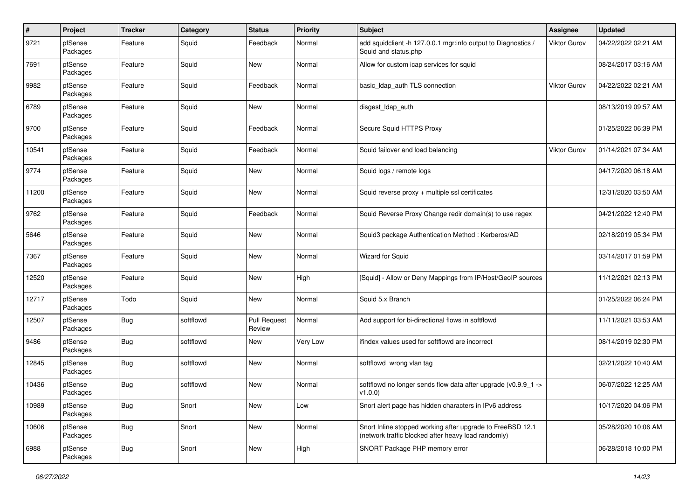| $\#$  | Project             | <b>Tracker</b> | Category  | <b>Status</b>                 | <b>Priority</b> | Subject                                                                                                           | Assignee            | <b>Updated</b>      |
|-------|---------------------|----------------|-----------|-------------------------------|-----------------|-------------------------------------------------------------------------------------------------------------------|---------------------|---------------------|
| 9721  | pfSense<br>Packages | Feature        | Squid     | Feedback                      | Normal          | add squidclient -h 127.0.0.1 mgr:info output to Diagnostics /<br>Squid and status.php                             | Viktor Gurov        | 04/22/2022 02:21 AM |
| 7691  | pfSense<br>Packages | Feature        | Squid     | New                           | Normal          | Allow for custom icap services for squid                                                                          |                     | 08/24/2017 03:16 AM |
| 9982  | pfSense<br>Packages | Feature        | Squid     | Feedback                      | Normal          | basic_Idap_auth TLS connection                                                                                    | <b>Viktor Gurov</b> | 04/22/2022 02:21 AM |
| 6789  | pfSense<br>Packages | Feature        | Squid     | New                           | Normal          | disgest_ldap_auth                                                                                                 |                     | 08/13/2019 09:57 AM |
| 9700  | pfSense<br>Packages | Feature        | Squid     | Feedback                      | Normal          | Secure Squid HTTPS Proxy                                                                                          |                     | 01/25/2022 06:39 PM |
| 10541 | pfSense<br>Packages | Feature        | Squid     | Feedback                      | Normal          | Squid failover and load balancing                                                                                 | Viktor Gurov        | 01/14/2021 07:34 AM |
| 9774  | pfSense<br>Packages | Feature        | Squid     | New                           | Normal          | Squid logs / remote logs                                                                                          |                     | 04/17/2020 06:18 AM |
| 11200 | pfSense<br>Packages | Feature        | Squid     | New                           | Normal          | Squid reverse $proxv +$ multiple ssl certificates                                                                 |                     | 12/31/2020 03:50 AM |
| 9762  | pfSense<br>Packages | Feature        | Squid     | Feedback                      | Normal          | Squid Reverse Proxy Change redir domain(s) to use regex                                                           |                     | 04/21/2022 12:40 PM |
| 5646  | pfSense<br>Packages | Feature        | Squid     | New                           | Normal          | Squid3 package Authentication Method: Kerberos/AD                                                                 |                     | 02/18/2019 05:34 PM |
| 7367  | pfSense<br>Packages | Feature        | Squid     | New                           | Normal          | Wizard for Squid                                                                                                  |                     | 03/14/2017 01:59 PM |
| 12520 | pfSense<br>Packages | Feature        | Squid     | New                           | High            | [Squid] - Allow or Deny Mappings from IP/Host/GeoIP sources                                                       |                     | 11/12/2021 02:13 PM |
| 12717 | pfSense<br>Packages | Todo           | Squid     | New                           | Normal          | Squid 5.x Branch                                                                                                  |                     | 01/25/2022 06:24 PM |
| 12507 | pfSense<br>Packages | Bug            | softflowd | <b>Pull Request</b><br>Review | Normal          | Add support for bi-directional flows in softflowd                                                                 |                     | 11/11/2021 03:53 AM |
| 9486  | pfSense<br>Packages | Bug            | softflowd | New                           | Very Low        | ifindex values used for softflowd are incorrect                                                                   |                     | 08/14/2019 02:30 PM |
| 12845 | pfSense<br>Packages | Bug            | softflowd | New                           | Normal          | softflowd wrong vlan tag                                                                                          |                     | 02/21/2022 10:40 AM |
| 10436 | pfSense<br>Packages | <b>Bug</b>     | softflowd | <b>New</b>                    | Normal          | softflowd no longer sends flow data after upgrade (v0.9.9 1 -><br>v1.0.0                                          |                     | 06/07/2022 12:25 AM |
| 10989 | pfSense<br>Packages | Bug            | Snort     | New                           | Low             | Snort alert page has hidden characters in IPv6 address                                                            |                     | 10/17/2020 04:06 PM |
| 10606 | pfSense<br>Packages | <b>Bug</b>     | Snort     | New                           | Normal          | Snort Inline stopped working after upgrade to FreeBSD 12.1<br>(network traffic blocked after heavy load randomly) |                     | 05/28/2020 10:06 AM |
| 6988  | pfSense<br>Packages | <b>Bug</b>     | Snort     | New                           | High            | SNORT Package PHP memory error                                                                                    |                     | 06/28/2018 10:00 PM |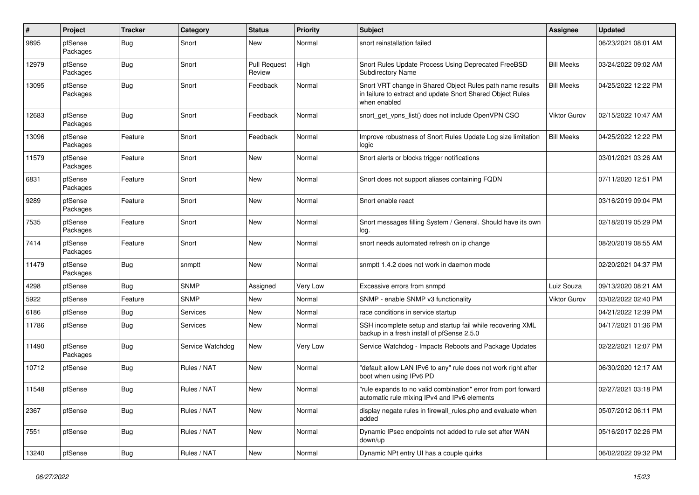| $\pmb{\#}$ | Project             | <b>Tracker</b> | Category         | <b>Status</b>                 | <b>Priority</b> | <b>Subject</b>                                                                                                                          | <b>Assignee</b>   | <b>Updated</b>      |
|------------|---------------------|----------------|------------------|-------------------------------|-----------------|-----------------------------------------------------------------------------------------------------------------------------------------|-------------------|---------------------|
| 9895       | pfSense<br>Packages | <b>Bug</b>     | Snort            | New                           | Normal          | snort reinstallation failed                                                                                                             |                   | 06/23/2021 08:01 AM |
| 12979      | pfSense<br>Packages | Bug            | Snort            | <b>Pull Request</b><br>Review | High            | Snort Rules Update Process Using Deprecated FreeBSD<br><b>Subdirectory Name</b>                                                         | <b>Bill Meeks</b> | 03/24/2022 09:02 AM |
| 13095      | pfSense<br>Packages | Bug            | Snort            | Feedback                      | Normal          | Snort VRT change in Shared Object Rules path name results<br>in failure to extract and update Snort Shared Object Rules<br>when enabled | <b>Bill Meeks</b> | 04/25/2022 12:22 PM |
| 12683      | pfSense<br>Packages | <b>Bug</b>     | Snort            | Feedback                      | Normal          | snort_get_vpns_list() does not include OpenVPN CSO                                                                                      | Viktor Gurov      | 02/15/2022 10:47 AM |
| 13096      | pfSense<br>Packages | Feature        | Snort            | Feedback                      | Normal          | Improve robustness of Snort Rules Update Log size limitation<br>logic                                                                   | <b>Bill Meeks</b> | 04/25/2022 12:22 PM |
| 11579      | pfSense<br>Packages | Feature        | Snort            | New                           | Normal          | Snort alerts or blocks trigger notifications                                                                                            |                   | 03/01/2021 03:26 AM |
| 6831       | pfSense<br>Packages | Feature        | Snort            | New                           | Normal          | Snort does not support aliases containing FQDN                                                                                          |                   | 07/11/2020 12:51 PM |
| 9289       | pfSense<br>Packages | Feature        | Snort            | New                           | Normal          | Snort enable react                                                                                                                      |                   | 03/16/2019 09:04 PM |
| 7535       | pfSense<br>Packages | Feature        | Snort            | New                           | Normal          | Snort messages filling System / General. Should have its own<br>log.                                                                    |                   | 02/18/2019 05:29 PM |
| 7414       | pfSense<br>Packages | Feature        | Snort            | New                           | Normal          | snort needs automated refresh on ip change                                                                                              |                   | 08/20/2019 08:55 AM |
| 11479      | pfSense<br>Packages | Bug            | snmptt           | New                           | Normal          | snmptt 1.4.2 does not work in daemon mode                                                                                               |                   | 02/20/2021 04:37 PM |
| 4298       | pfSense             | Bug            | <b>SNMP</b>      | Assigned                      | Very Low        | Excessive errors from snmpd                                                                                                             | Luiz Souza        | 09/13/2020 08:21 AM |
| 5922       | pfSense             | Feature        | <b>SNMP</b>      | New                           | Normal          | SNMP - enable SNMP v3 functionality                                                                                                     | Viktor Gurov      | 03/02/2022 02:40 PM |
| 6186       | pfSense             | <b>Bug</b>     | Services         | New                           | Normal          | race conditions in service startup                                                                                                      |                   | 04/21/2022 12:39 PM |
| 11786      | pfSense             | Bug            | Services         | New                           | Normal          | SSH incomplete setup and startup fail while recovering XML<br>backup in a fresh install of pfSense 2.5.0                                |                   | 04/17/2021 01:36 PM |
| 11490      | pfSense<br>Packages | <b>Bug</b>     | Service Watchdog | New                           | Very Low        | Service Watchdog - Impacts Reboots and Package Updates                                                                                  |                   | 02/22/2021 12:07 PM |
| 10712      | pfSense             | Bug            | Rules / NAT      | <b>New</b>                    | Normal          | "default allow LAN IPv6 to any" rule does not work right after<br>boot when using IPv6 PD                                               |                   | 06/30/2020 12:17 AM |
| 11548      | pfSense             | Bug            | Rules / NAT      | New                           | Normal          | "rule expands to no valid combination" error from port forward<br>automatic rule mixing IPv4 and IPv6 elements                          |                   | 02/27/2021 03:18 PM |
| 2367       | pfSense             | <b>Bug</b>     | Rules / NAT      | New                           | Normal          | display negate rules in firewall_rules.php and evaluate when<br>added                                                                   |                   | 05/07/2012 06:11 PM |
| 7551       | pfSense             | <b>Bug</b>     | Rules / NAT      | <b>New</b>                    | Normal          | Dynamic IPsec endpoints not added to rule set after WAN<br>down/up                                                                      |                   | 05/16/2017 02:26 PM |
| 13240      | pfSense             | <b>Bug</b>     | Rules / NAT      | New                           | Normal          | Dynamic NPt entry UI has a couple quirks                                                                                                |                   | 06/02/2022 09:32 PM |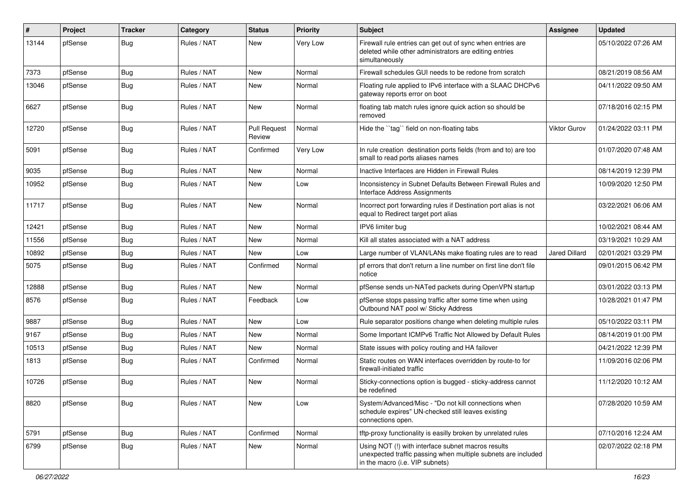| #     | Project | <b>Tracker</b> | Category    | <b>Status</b>                 | <b>Priority</b> | <b>Subject</b>                                                                                                                                         | Assignee            | <b>Updated</b>      |
|-------|---------|----------------|-------------|-------------------------------|-----------------|--------------------------------------------------------------------------------------------------------------------------------------------------------|---------------------|---------------------|
| 13144 | pfSense | <b>Bug</b>     | Rules / NAT | New                           | Very Low        | Firewall rule entries can get out of sync when entries are<br>deleted while other administrators are editing entries<br>simultaneously                 |                     | 05/10/2022 07:26 AM |
| 7373  | pfSense | <b>Bug</b>     | Rules / NAT | New                           | Normal          | Firewall schedules GUI needs to be redone from scratch                                                                                                 |                     | 08/21/2019 08:56 AM |
| 13046 | pfSense | Bug            | Rules / NAT | New                           | Normal          | Floating rule applied to IPv6 interface with a SLAAC DHCPv6<br>gateway reports error on boot                                                           |                     | 04/11/2022 09:50 AM |
| 6627  | pfSense | Bug            | Rules / NAT | New                           | Normal          | floating tab match rules ignore quick action so should be<br>removed                                                                                   |                     | 07/18/2016 02:15 PM |
| 12720 | pfSense | <b>Bug</b>     | Rules / NAT | <b>Pull Request</b><br>Review | Normal          | Hide the "tag" field on non-floating tabs                                                                                                              | <b>Viktor Gurov</b> | 01/24/2022 03:11 PM |
| 5091  | pfSense | Bug            | Rules / NAT | Confirmed                     | Very Low        | In rule creation destination ports fields (from and to) are too<br>small to read ports aliases names                                                   |                     | 01/07/2020 07:48 AM |
| 9035  | pfSense | <b>Bug</b>     | Rules / NAT | New                           | Normal          | Inactive Interfaces are Hidden in Firewall Rules                                                                                                       |                     | 08/14/2019 12:39 PM |
| 10952 | pfSense | <b>Bug</b>     | Rules / NAT | New                           | Low             | Inconsistency in Subnet Defaults Between Firewall Rules and<br><b>Interface Address Assignments</b>                                                    |                     | 10/09/2020 12:50 PM |
| 11717 | pfSense | <b>Bug</b>     | Rules / NAT | <b>New</b>                    | Normal          | Incorrect port forwarding rules if Destination port alias is not<br>equal to Redirect target port alias                                                |                     | 03/22/2021 06:06 AM |
| 12421 | pfSense | Bug            | Rules / NAT | New                           | Normal          | IPV6 limiter bug                                                                                                                                       |                     | 10/02/2021 08:44 AM |
| 11556 | pfSense | <b>Bug</b>     | Rules / NAT | New                           | Normal          | Kill all states associated with a NAT address                                                                                                          |                     | 03/19/2021 10:29 AM |
| 10892 | pfSense | <b>Bug</b>     | Rules / NAT | New                           | Low             | Large number of VLAN/LANs make floating rules are to read                                                                                              | Jared Dillard       | 02/01/2021 03:29 PM |
| 5075  | pfSense | Bug            | Rules / NAT | Confirmed                     | Normal          | pf errors that don't return a line number on first line don't file<br>notice                                                                           |                     | 09/01/2015 06:42 PM |
| 12888 | pfSense | <b>Bug</b>     | Rules / NAT | <b>New</b>                    | Normal          | pfSense sends un-NATed packets during OpenVPN startup                                                                                                  |                     | 03/01/2022 03:13 PM |
| 8576  | pfSense | <b>Bug</b>     | Rules / NAT | Feedback                      | Low             | pfSense stops passing traffic after some time when using<br>Outbound NAT pool w/ Sticky Address                                                        |                     | 10/28/2021 01:47 PM |
| 9887  | pfSense | <b>Bug</b>     | Rules / NAT | New                           | Low             | Rule separator positions change when deleting multiple rules                                                                                           |                     | 05/10/2022 03:11 PM |
| 9167  | pfSense | <b>Bug</b>     | Rules / NAT | New                           | Normal          | Some Important ICMPv6 Traffic Not Allowed by Default Rules                                                                                             |                     | 08/14/2019 01:00 PM |
| 10513 | pfSense | <b>Bug</b>     | Rules / NAT | New                           | Normal          | State issues with policy routing and HA failover                                                                                                       |                     | 04/21/2022 12:39 PM |
| 1813  | pfSense | Bug            | Rules / NAT | Confirmed                     | Normal          | Static routes on WAN interfaces overridden by route-to for<br>firewall-initiated traffic                                                               |                     | 11/09/2016 02:06 PM |
| 10726 | pfSense | Bug            | Rules / NAT | New                           | Normal          | Sticky-connections option is bugged - sticky-address cannot<br>be redefined                                                                            |                     | 11/12/2020 10:12 AM |
| 8820  | pfSense | <b>Bug</b>     | Rules / NAT | New                           | Low             | System/Advanced/Misc - "Do not kill connections when<br>schedule expires" UN-checked still leaves existing<br>connections open.                        |                     | 07/28/2020 10:59 AM |
| 5791  | pfSense | Bug            | Rules / NAT | Confirmed                     | Normal          | tftp-proxy functionality is easilly broken by unrelated rules                                                                                          |                     | 07/10/2016 12:24 AM |
| 6799  | pfSense | Bug            | Rules / NAT | New                           | Normal          | Using NOT (!) with interface subnet macros results<br>unexpected traffic passing when multiple subnets are included<br>in the macro (i.e. VIP subnets) |                     | 02/07/2022 02:18 PM |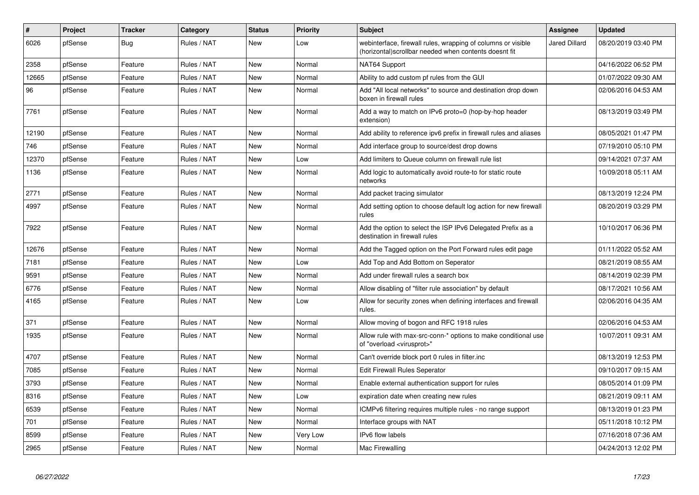| $\vert$ # | Project | <b>Tracker</b> | Category    | <b>Status</b> | <b>Priority</b> | <b>Subject</b>                                                                                                        | Assignee             | <b>Updated</b>      |
|-----------|---------|----------------|-------------|---------------|-----------------|-----------------------------------------------------------------------------------------------------------------------|----------------------|---------------------|
| 6026      | pfSense | Bug            | Rules / NAT | New           | Low             | webinterface, firewall rules, wrapping of columns or visible<br>(horizontal)scrollbar needed when contents doesnt fit | <b>Jared Dillard</b> | 08/20/2019 03:40 PM |
| 2358      | pfSense | Feature        | Rules / NAT | New           | Normal          | NAT64 Support                                                                                                         |                      | 04/16/2022 06:52 PM |
| 12665     | pfSense | Feature        | Rules / NAT | New           | Normal          | Ability to add custom pf rules from the GUI                                                                           |                      | 01/07/2022 09:30 AM |
| 96        | pfSense | Feature        | Rules / NAT | New           | Normal          | Add "All local networks" to source and destination drop down<br>boxen in firewall rules                               |                      | 02/06/2016 04:53 AM |
| 7761      | pfSense | Feature        | Rules / NAT | New           | Normal          | Add a way to match on IPv6 proto=0 (hop-by-hop header<br>extension)                                                   |                      | 08/13/2019 03:49 PM |
| 12190     | pfSense | Feature        | Rules / NAT | New           | Normal          | Add ability to reference ipv6 prefix in firewall rules and aliases                                                    |                      | 08/05/2021 01:47 PM |
| 746       | pfSense | Feature        | Rules / NAT | New           | Normal          | Add interface group to source/dest drop downs                                                                         |                      | 07/19/2010 05:10 PM |
| 12370     | pfSense | Feature        | Rules / NAT | New           | Low             | Add limiters to Queue column on firewall rule list                                                                    |                      | 09/14/2021 07:37 AM |
| 1136      | pfSense | Feature        | Rules / NAT | New           | Normal          | Add logic to automatically avoid route-to for static route<br>networks                                                |                      | 10/09/2018 05:11 AM |
| 2771      | pfSense | Feature        | Rules / NAT | <b>New</b>    | Normal          | Add packet tracing simulator                                                                                          |                      | 08/13/2019 12:24 PM |
| 4997      | pfSense | Feature        | Rules / NAT | New           | Normal          | Add setting option to choose default log action for new firewall<br>rules                                             |                      | 08/20/2019 03:29 PM |
| 7922      | pfSense | Feature        | Rules / NAT | <b>New</b>    | Normal          | Add the option to select the ISP IPv6 Delegated Prefix as a<br>destination in firewall rules                          |                      | 10/10/2017 06:36 PM |
| 12676     | pfSense | Feature        | Rules / NAT | New           | Normal          | Add the Tagged option on the Port Forward rules edit page                                                             |                      | 01/11/2022 05:52 AM |
| 7181      | pfSense | Feature        | Rules / NAT | New           | Low             | Add Top and Add Bottom on Seperator                                                                                   |                      | 08/21/2019 08:55 AM |
| 9591      | pfSense | Feature        | Rules / NAT | New           | Normal          | Add under firewall rules a search box                                                                                 |                      | 08/14/2019 02:39 PM |
| 6776      | pfSense | Feature        | Rules / NAT | New           | Normal          | Allow disabling of "filter rule association" by default                                                               |                      | 08/17/2021 10:56 AM |
| 4165      | pfSense | Feature        | Rules / NAT | New           | Low             | Allow for security zones when defining interfaces and firewall<br>rules.                                              |                      | 02/06/2016 04:35 AM |
| 371       | pfSense | Feature        | Rules / NAT | New           | Normal          | Allow moving of bogon and RFC 1918 rules                                                                              |                      | 02/06/2016 04:53 AM |
| 1935      | pfSense | Feature        | Rules / NAT | New           | Normal          | Allow rule with max-src-conn-* options to make conditional use<br>of "overload <virusprot>"</virusprot>               |                      | 10/07/2011 09:31 AM |
| 4707      | pfSense | Feature        | Rules / NAT | New           | Normal          | Can't override block port 0 rules in filter.inc                                                                       |                      | 08/13/2019 12:53 PM |
| 7085      | pfSense | Feature        | Rules / NAT | New           | Normal          | <b>Edit Firewall Rules Seperator</b>                                                                                  |                      | 09/10/2017 09:15 AM |
| 3793      | pfSense | Feature        | Rules / NAT | New           | Normal          | Enable external authentication support for rules                                                                      |                      | 08/05/2014 01:09 PM |
| 8316      | pfSense | Feature        | Rules / NAT | New           | Low             | expiration date when creating new rules                                                                               |                      | 08/21/2019 09:11 AM |
| 6539      | pfSense | Feature        | Rules / NAT | New           | Normal          | ICMPv6 filtering requires multiple rules - no range support                                                           |                      | 08/13/2019 01:23 PM |
| 701       | pfSense | Feature        | Rules / NAT | New           | Normal          | Interface groups with NAT                                                                                             |                      | 05/11/2018 10:12 PM |
| 8599      | pfSense | Feature        | Rules / NAT | New           | Very Low        | IPv6 flow labels                                                                                                      |                      | 07/16/2018 07:36 AM |
| 2965      | pfSense | Feature        | Rules / NAT | New           | Normal          | Mac Firewalling                                                                                                       |                      | 04/24/2013 12:02 PM |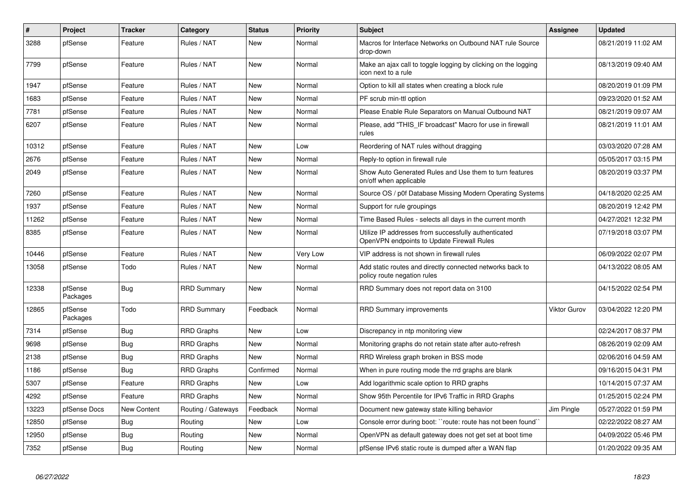| $\vert$ # | Project             | <b>Tracker</b> | Category           | <b>Status</b> | <b>Priority</b> | <b>Subject</b>                                                                                     | Assignee            | <b>Updated</b>      |
|-----------|---------------------|----------------|--------------------|---------------|-----------------|----------------------------------------------------------------------------------------------------|---------------------|---------------------|
| 3288      | pfSense             | Feature        | Rules / NAT        | New           | Normal          | Macros for Interface Networks on Outbound NAT rule Source<br>drop-down                             |                     | 08/21/2019 11:02 AM |
| 7799      | pfSense             | Feature        | Rules / NAT        | New           | Normal          | Make an ajax call to toggle logging by clicking on the logging<br>icon next to a rule              |                     | 08/13/2019 09:40 AM |
| 1947      | pfSense             | Feature        | Rules / NAT        | New           | Normal          | Option to kill all states when creating a block rule                                               |                     | 08/20/2019 01:09 PM |
| 1683      | pfSense             | Feature        | Rules / NAT        | New           | Normal          | PF scrub min-ttl option                                                                            |                     | 09/23/2020 01:52 AM |
| 7781      | pfSense             | Feature        | Rules / NAT        | New           | Normal          | Please Enable Rule Separators on Manual Outbound NAT                                               |                     | 08/21/2019 09:07 AM |
| 6207      | pfSense             | Feature        | Rules / NAT        | New           | Normal          | Please, add "THIS IF broadcast" Macro for use in firewall<br>rules                                 |                     | 08/21/2019 11:01 AM |
| 10312     | pfSense             | Feature        | Rules / NAT        | New           | Low             | Reordering of NAT rules without dragging                                                           |                     | 03/03/2020 07:28 AM |
| 2676      | pfSense             | Feature        | Rules / NAT        | New           | Normal          | Reply-to option in firewall rule                                                                   |                     | 05/05/2017 03:15 PM |
| 2049      | pfSense             | Feature        | Rules / NAT        | New           | Normal          | Show Auto Generated Rules and Use them to turn features<br>on/off when applicable                  |                     | 08/20/2019 03:37 PM |
| 7260      | pfSense             | Feature        | Rules / NAT        | New           | Normal          | Source OS / p0f Database Missing Modern Operating Systems                                          |                     | 04/18/2020 02:25 AM |
| 1937      | pfSense             | Feature        | Rules / NAT        | New           | Normal          | Support for rule groupings                                                                         |                     | 08/20/2019 12:42 PM |
| 11262     | pfSense             | Feature        | Rules / NAT        | New           | Normal          | Time Based Rules - selects all days in the current month                                           |                     | 04/27/2021 12:32 PM |
| 8385      | pfSense             | Feature        | Rules / NAT        | New           | Normal          | Utilize IP addresses from successfully authenticated<br>OpenVPN endpoints to Update Firewall Rules |                     | 07/19/2018 03:07 PM |
| 10446     | pfSense             | Feature        | Rules / NAT        | New           | Very Low        | VIP address is not shown in firewall rules                                                         |                     | 06/09/2022 02:07 PM |
| 13058     | pfSense             | Todo           | Rules / NAT        | New           | Normal          | Add static routes and directly connected networks back to<br>policy route negation rules           |                     | 04/13/2022 08:05 AM |
| 12338     | pfSense<br>Packages | <b>Bug</b>     | <b>RRD Summary</b> | <b>New</b>    | Normal          | RRD Summary does not report data on 3100                                                           |                     | 04/15/2022 02:54 PM |
| 12865     | pfSense<br>Packages | Todo           | <b>RRD Summary</b> | Feedback      | Normal          | <b>RRD Summary improvements</b>                                                                    | <b>Viktor Gurov</b> | 03/04/2022 12:20 PM |
| 7314      | pfSense             | Bug            | <b>RRD Graphs</b>  | New           | Low             | Discrepancy in ntp monitoring view                                                                 |                     | 02/24/2017 08:37 PM |
| 9698      | pfSense             | <b>Bug</b>     | <b>RRD Graphs</b>  | <b>New</b>    | Normal          | Monitoring graphs do not retain state after auto-refresh                                           |                     | 08/26/2019 02:09 AM |
| 2138      | pfSense             | <b>Bug</b>     | <b>RRD Graphs</b>  | New           | Normal          | RRD Wireless graph broken in BSS mode                                                              |                     | 02/06/2016 04:59 AM |
| 1186      | pfSense             | <b>Bug</b>     | <b>RRD Graphs</b>  | Confirmed     | Normal          | When in pure routing mode the rrd graphs are blank                                                 |                     | 09/16/2015 04:31 PM |
| 5307      | pfSense             | Feature        | <b>RRD Graphs</b>  | New           | Low             | Add logarithmic scale option to RRD graphs                                                         |                     | 10/14/2015 07:37 AM |
| 4292      | pfSense             | Feature        | <b>RRD Graphs</b>  | <b>New</b>    | Normal          | Show 95th Percentile for IPv6 Traffic in RRD Graphs                                                |                     | 01/25/2015 02:24 PM |
| 13223     | pfSense Docs        | New Content    | Routing / Gateways | Feedback      | Normal          | Document new gateway state killing behavior                                                        | Jim Pingle          | 05/27/2022 01:59 PM |
| 12850     | pfSense             | Bug            | Routing            | New           | Low             | Console error during boot: "route: route has not been found"                                       |                     | 02/22/2022 08:27 AM |
| 12950     | pfSense             | <b>Bug</b>     | Routing            | New           | Normal          | OpenVPN as default gateway does not get set at boot time                                           |                     | 04/09/2022 05:46 PM |
| 7352      | pfSense             | Bug            | Routing            | New           | Normal          | pfSense IPv6 static route is dumped after a WAN flap                                               |                     | 01/20/2022 09:35 AM |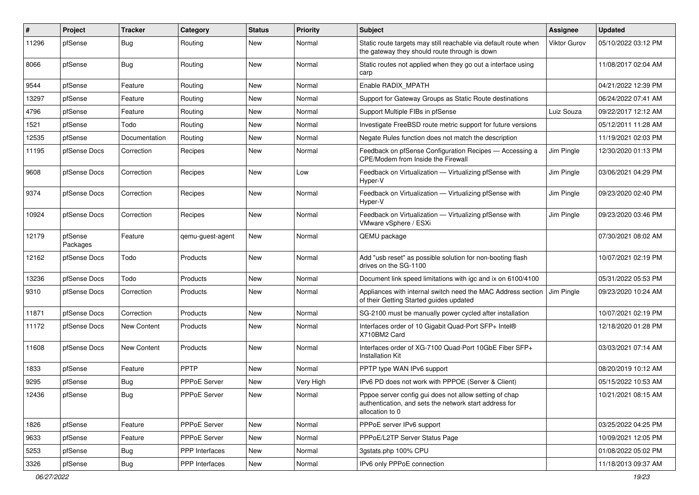| ∦     | Project             | <b>Tracker</b>     | Category            | <b>Status</b> | <b>Priority</b> | Subject                                                                                                                             | <b>Assignee</b>     | <b>Updated</b>      |
|-------|---------------------|--------------------|---------------------|---------------|-----------------|-------------------------------------------------------------------------------------------------------------------------------------|---------------------|---------------------|
| 11296 | pfSense             | <b>Bug</b>         | Routing             | New           | Normal          | Static route targets may still reachable via default route when<br>the gateway they should route through is down                    | <b>Viktor Gurov</b> | 05/10/2022 03:12 PM |
| 8066  | pfSense             | <b>Bug</b>         | Routing             | New           | Normal          | Static routes not applied when they go out a interface using<br>carp                                                                |                     | 11/08/2017 02:04 AM |
| 9544  | pfSense             | Feature            | Routing             | New           | Normal          | Enable RADIX_MPATH                                                                                                                  |                     | 04/21/2022 12:39 PM |
| 13297 | pfSense             | Feature            | Routing             | New           | Normal          | Support for Gateway Groups as Static Route destinations                                                                             |                     | 06/24/2022 07:41 AM |
| 4796  | pfSense             | Feature            | Routing             | New           | Normal          | Support Multiple FIBs in pfSense                                                                                                    | Luiz Souza          | 09/22/2017 12:12 AM |
| 1521  | pfSense             | Todo               | Routing             | New           | Normal          | Investigate FreeBSD route metric support for future versions                                                                        |                     | 05/12/2011 11:28 AM |
| 12535 | pfSense             | Documentation      | Routing             | New           | Normal          | Negate Rules function does not match the description                                                                                |                     | 11/19/2021 02:03 PM |
| 11195 | pfSense Docs        | Correction         | Recipes             | New           | Normal          | Feedback on pfSense Configuration Recipes - Accessing a<br>CPE/Modem from Inside the Firewall                                       | Jim Pingle          | 12/30/2020 01:13 PM |
| 9608  | pfSense Docs        | Correction         | Recipes             | New           | Low             | Feedback on Virtualization - Virtualizing pfSense with<br>Hyper-V                                                                   | Jim Pingle          | 03/06/2021 04:29 PM |
| 9374  | pfSense Docs        | Correction         | Recipes             | New           | Normal          | Feedback on Virtualization - Virtualizing pfSense with<br>Hyper-V                                                                   | Jim Pingle          | 09/23/2020 02:40 PM |
| 10924 | pfSense Docs        | Correction         | Recipes             | New           | Normal          | Feedback on Virtualization - Virtualizing pfSense with<br>VMware vSphere / ESXi                                                     | Jim Pingle          | 09/23/2020 03:46 PM |
| 12179 | pfSense<br>Packages | Feature            | qemu-guest-agent    | <b>New</b>    | Normal          | QEMU package                                                                                                                        |                     | 07/30/2021 08:02 AM |
| 12162 | pfSense Docs        | Todo               | Products            | New           | Normal          | Add "usb reset" as possible solution for non-booting flash<br>drives on the SG-1100                                                 |                     | 10/07/2021 02:19 PM |
| 13236 | pfSense Docs        | Todo               | Products            | New           | Normal          | Document link speed limitations with igc and ix on 6100/4100                                                                        |                     | 05/31/2022 05:53 PM |
| 9310  | pfSense Docs        | Correction         | Products            | New           | Normal          | Appliances with internal switch need the MAC Address section<br>of their Getting Started guides updated                             | Jim Pingle          | 09/23/2020 10:24 AM |
| 11871 | pfSense Docs        | Correction         | Products            | New           | Normal          | SG-2100 must be manually power cycled after installation                                                                            |                     | 10/07/2021 02:19 PM |
| 11172 | pfSense Docs        | <b>New Content</b> | Products            | New           | Normal          | Interfaces order of 10 Gigabit Quad-Port SFP+ Intel®<br>X710BM2 Card                                                                |                     | 12/18/2020 01:28 PM |
| 11608 | pfSense Docs        | <b>New Content</b> | Products            | New           | Normal          | Interfaces order of XG-7100 Quad-Port 10GbE Fiber SFP+<br><b>Installation Kit</b>                                                   |                     | 03/03/2021 07:14 AM |
| 1833  | pfSense             | Feature            | PPTP                | New           | Normal          | PPTP type WAN IPv6 support                                                                                                          |                     | 08/20/2019 10:12 AM |
| 9295  | pfSense             | <b>Bug</b>         | <b>PPPoE Server</b> | New           | Very High       | IPv6 PD does not work with PPPOE (Server & Client)                                                                                  |                     | 05/15/2022 10:53 AM |
| 12436 | pfSense             | <b>Bug</b>         | PPPoE Server        | New           | Normal          | Pppoe server config gui does not allow setting of chap<br>authentication, and sets the network start address for<br>allocation to 0 |                     | 10/21/2021 08:15 AM |
| 1826  | pfSense             | Feature            | PPPoE Server        | New           | Normal          | PPPoE server IPv6 support                                                                                                           |                     | 03/25/2022 04:25 PM |
| 9633  | pfSense             | Feature            | PPPoE Server        | New           | Normal          | PPPoE/L2TP Server Status Page                                                                                                       |                     | 10/09/2021 12:05 PM |
| 5253  | pfSense             | <b>Bug</b>         | PPP Interfaces      | <b>New</b>    | Normal          | 3gstats.php 100% CPU                                                                                                                |                     | 01/08/2022 05:02 PM |
| 3326  | pfSense             | Bug                | PPP Interfaces      | New           | Normal          | IPv6 only PPPoE connection                                                                                                          |                     | 11/18/2013 09:37 AM |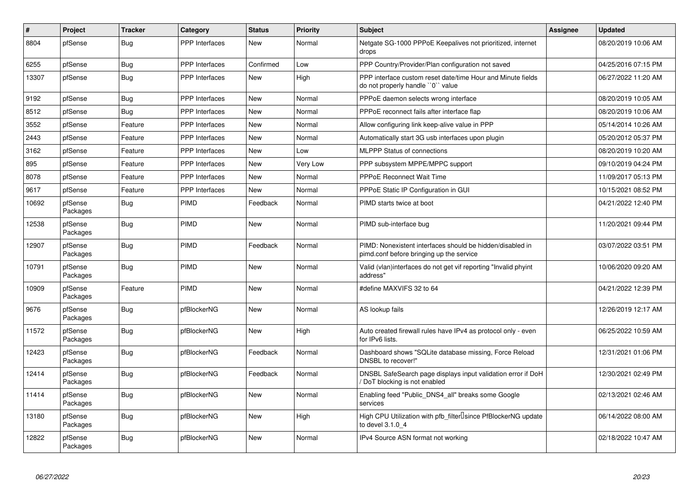| $\vert$ # | <b>Project</b>      | <b>Tracker</b> | Category              | <b>Status</b> | <b>Priority</b> | <b>Subject</b>                                                                                        | <b>Assignee</b> | <b>Updated</b>      |
|-----------|---------------------|----------------|-----------------------|---------------|-----------------|-------------------------------------------------------------------------------------------------------|-----------------|---------------------|
| 8804      | pfSense             | <b>Bug</b>     | <b>PPP</b> Interfaces | <b>New</b>    | Normal          | Netgate SG-1000 PPPoE Keepalives not prioritized, internet<br>drops                                   |                 | 08/20/2019 10:06 AM |
| 6255      | pfSense             | <b>Bug</b>     | <b>PPP</b> Interfaces | Confirmed     | Low             | PPP Country/Provider/Plan configuration not saved                                                     |                 | 04/25/2016 07:15 PM |
| 13307     | pfSense             | <b>Bug</b>     | <b>PPP</b> Interfaces | New           | High            | PPP interface custom reset date/time Hour and Minute fields<br>do not properly handle "0" value       |                 | 06/27/2022 11:20 AM |
| 9192      | pfSense             | Bug            | <b>PPP</b> Interfaces | New           | Normal          | PPPoE daemon selects wrong interface                                                                  |                 | 08/20/2019 10:05 AM |
| 8512      | pfSense             | Bug            | <b>PPP</b> Interfaces | <b>New</b>    | Normal          | PPPoE reconnect fails after interface flap                                                            |                 | 08/20/2019 10:06 AM |
| 3552      | pfSense             | Feature        | PPP Interfaces        | <b>New</b>    | Normal          | Allow configuring link keep-alive value in PPP                                                        |                 | 05/14/2014 10:26 AM |
| 2443      | pfSense             | Feature        | <b>PPP</b> Interfaces | <b>New</b>    | Normal          | Automatically start 3G usb interfaces upon plugin                                                     |                 | 05/20/2012 05:37 PM |
| 3162      | pfSense             | Feature        | <b>PPP</b> Interfaces | <b>New</b>    | Low             | <b>MLPPP Status of connections</b>                                                                    |                 | 08/20/2019 10:20 AM |
| 895       | pfSense             | Feature        | PPP Interfaces        | <b>New</b>    | Very Low        | PPP subsystem MPPE/MPPC support                                                                       |                 | 09/10/2019 04:24 PM |
| 8078      | pfSense             | Feature        | <b>PPP</b> Interfaces | <b>New</b>    | Normal          | <b>PPPoE Reconnect Wait Time</b>                                                                      |                 | 11/09/2017 05:13 PM |
| 9617      | pfSense             | Feature        | <b>PPP</b> Interfaces | <b>New</b>    | Normal          | PPPoE Static IP Configuration in GUI                                                                  |                 | 10/15/2021 08:52 PM |
| 10692     | pfSense<br>Packages | <b>Bug</b>     | PIMD                  | Feedback      | Normal          | PIMD starts twice at boot                                                                             |                 | 04/21/2022 12:40 PM |
| 12538     | pfSense<br>Packages | Bug            | PIMD                  | <b>New</b>    | Normal          | PIMD sub-interface bug                                                                                |                 | 11/20/2021 09:44 PM |
| 12907     | pfSense<br>Packages | <b>Bug</b>     | PIMD                  | Feedback      | Normal          | PIMD: Nonexistent interfaces should be hidden/disabled in<br>pimd.conf before bringing up the service |                 | 03/07/2022 03:51 PM |
| 10791     | pfSense<br>Packages | <b>Bug</b>     | <b>PIMD</b>           | New           | Normal          | Valid (vlan)interfaces do not get vif reporting "Invalid phyint<br>address"                           |                 | 10/06/2020 09:20 AM |
| 10909     | pfSense<br>Packages | Feature        | <b>PIMD</b>           | New           | Normal          | #define MAXVIFS 32 to 64                                                                              |                 | 04/21/2022 12:39 PM |
| 9676      | pfSense<br>Packages | <b>Bug</b>     | pfBlockerNG           | New           | Normal          | AS lookup fails                                                                                       |                 | 12/26/2019 12:17 AM |
| 11572     | pfSense<br>Packages | <b>Bug</b>     | pfBlockerNG           | New           | High            | Auto created firewall rules have IPv4 as protocol only - even<br>for IPv6 lists.                      |                 | 06/25/2022 10:59 AM |
| 12423     | pfSense<br>Packages | <b>Bug</b>     | pfBlockerNG           | Feedback      | Normal          | Dashboard shows "SQLite database missing, Force Reload<br>DNSBL to recover!"                          |                 | 12/31/2021 01:06 PM |
| 12414     | pfSense<br>Packages | <b>Bug</b>     | pfBlockerNG           | Feedback      | Normal          | DNSBL SafeSearch page displays input validation error if DoH<br>DoT blocking is not enabled           |                 | 12/30/2021 02:49 PM |
| 11414     | pfSense<br>Packages | <b>Bug</b>     | pfBlockerNG           | <b>New</b>    | Normal          | Enabling feed "Public_DNS4_all" breaks some Google<br>services                                        |                 | 02/13/2021 02:46 AM |
| 13180     | pfSense<br>Packages | <b>Bug</b>     | pfBlockerNG           | <b>New</b>    | High            | High CPU Utilization with pfb_filter <sup>[]</sup> since PfBlockerNG update<br>to devel 3.1.0 4       |                 | 06/14/2022 08:00 AM |
| 12822     | pfSense<br>Packages | <b>Bug</b>     | pfBlockerNG           | <b>New</b>    | Normal          | IPv4 Source ASN format not working                                                                    |                 | 02/18/2022 10:47 AM |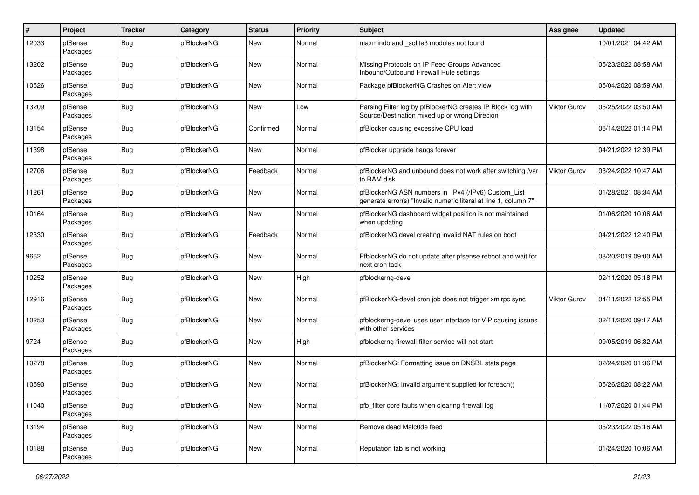| $\pmb{\#}$ | Project             | <b>Tracker</b> | Category    | <b>Status</b> | <b>Priority</b> | <b>Subject</b>                                                                                                         | <b>Assignee</b>     | <b>Updated</b>      |
|------------|---------------------|----------------|-------------|---------------|-----------------|------------------------------------------------------------------------------------------------------------------------|---------------------|---------------------|
| 12033      | pfSense<br>Packages | <b>Bug</b>     | pfBlockerNG | New           | Normal          | maxmindb and _sqlite3 modules not found                                                                                |                     | 10/01/2021 04:42 AM |
| 13202      | pfSense<br>Packages | <b>Bug</b>     | pfBlockerNG | New           | Normal          | Missing Protocols on IP Feed Groups Advanced<br>Inbound/Outbound Firewall Rule settings                                |                     | 05/23/2022 08:58 AM |
| 10526      | pfSense<br>Packages | <b>Bug</b>     | pfBlockerNG | <b>New</b>    | Normal          | Package pfBlockerNG Crashes on Alert view                                                                              |                     | 05/04/2020 08:59 AM |
| 13209      | pfSense<br>Packages | <b>Bug</b>     | pfBlockerNG | New           | Low             | Parsing Filter log by pfBlockerNG creates IP Block log with<br>Source/Destination mixed up or wrong Direcion           | <b>Viktor Gurov</b> | 05/25/2022 03:50 AM |
| 13154      | pfSense<br>Packages | <b>Bug</b>     | pfBlockerNG | Confirmed     | Normal          | pfBlocker causing excessive CPU load                                                                                   |                     | 06/14/2022 01:14 PM |
| 11398      | pfSense<br>Packages | <b>Bug</b>     | pfBlockerNG | New           | Normal          | pfBlocker upgrade hangs forever                                                                                        |                     | 04/21/2022 12:39 PM |
| 12706      | pfSense<br>Packages | <b>Bug</b>     | pfBlockerNG | Feedback      | Normal          | pfBlockerNG and unbound does not work after switching /var<br>to RAM disk                                              | <b>Viktor Gurov</b> | 03/24/2022 10:47 AM |
| 11261      | pfSense<br>Packages | Bug            | pfBlockerNG | New           | Normal          | pfBlockerNG ASN numbers in IPv4 (/IPv6) Custom_List<br>generate error(s) "Invalid numeric literal at line 1, column 7" |                     | 01/28/2021 08:34 AM |
| 10164      | pfSense<br>Packages | <b>Bug</b>     | pfBlockerNG | <b>New</b>    | Normal          | pfBlockerNG dashboard widget position is not maintained<br>when updating                                               |                     | 01/06/2020 10:06 AM |
| 12330      | pfSense<br>Packages | <b>Bug</b>     | pfBlockerNG | Feedback      | Normal          | pfBlockerNG devel creating invalid NAT rules on boot                                                                   |                     | 04/21/2022 12:40 PM |
| 9662       | pfSense<br>Packages | <b>Bug</b>     | pfBlockerNG | New           | Normal          | PfblockerNG do not update after pfsense reboot and wait for<br>next cron task                                          |                     | 08/20/2019 09:00 AM |
| 10252      | pfSense<br>Packages | Bug            | pfBlockerNG | New           | High            | pfblockerng-devel                                                                                                      |                     | 02/11/2020 05:18 PM |
| 12916      | pfSense<br>Packages | <b>Bug</b>     | pfBlockerNG | New           | Normal          | pfBlockerNG-devel cron job does not trigger xmlrpc sync                                                                | Viktor Gurov        | 04/11/2022 12:55 PM |
| 10253      | pfSense<br>Packages | <b>Bug</b>     | pfBlockerNG | New           | Normal          | pfblockerng-devel uses user interface for VIP causing issues<br>with other services                                    |                     | 02/11/2020 09:17 AM |
| 9724       | pfSense<br>Packages | <b>Bug</b>     | pfBlockerNG | New           | High            | pfblockerng-firewall-filter-service-will-not-start                                                                     |                     | 09/05/2019 06:32 AM |
| 10278      | pfSense<br>Packages | <b>Bug</b>     | pfBlockerNG | New           | Normal          | pfBlockerNG: Formatting issue on DNSBL stats page                                                                      |                     | 02/24/2020 01:36 PM |
| 10590      | pfSense<br>Packages | <b>Bug</b>     | pfBlockerNG | New           | Normal          | pfBlockerNG: Invalid argument supplied for foreach()                                                                   |                     | 05/26/2020 08:22 AM |
| 11040      | pfSense<br>Packages | <b>Bug</b>     | pfBlockerNG | New           | Normal          | pfb filter core faults when clearing firewall log                                                                      |                     | 11/07/2020 01:44 PM |
| 13194      | pfSense<br>Packages | Bug            | pfBlockerNG | New           | Normal          | Remove dead Malc0de feed                                                                                               |                     | 05/23/2022 05:16 AM |
| 10188      | pfSense<br>Packages | <b>Bug</b>     | pfBlockerNG | New           | Normal          | Reputation tab is not working                                                                                          |                     | 01/24/2020 10:06 AM |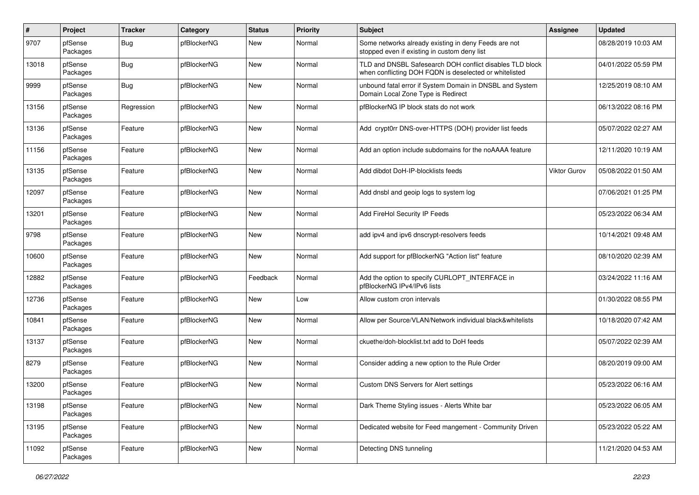| $\sharp$ | Project             | <b>Tracker</b> | Category    | <b>Status</b> | <b>Priority</b> | <b>Subject</b>                                                                                                     | <b>Assignee</b> | <b>Updated</b>      |
|----------|---------------------|----------------|-------------|---------------|-----------------|--------------------------------------------------------------------------------------------------------------------|-----------------|---------------------|
| 9707     | pfSense<br>Packages | Bug            | pfBlockerNG | New           | Normal          | Some networks already existing in deny Feeds are not<br>stopped even if existing in custom deny list               |                 | 08/28/2019 10:03 AM |
| 13018    | pfSense<br>Packages | Bug            | pfBlockerNG | New           | Normal          | TLD and DNSBL Safesearch DOH conflict disables TLD block<br>when conflicting DOH FQDN is deselected or whitelisted |                 | 04/01/2022 05:59 PM |
| 9999     | pfSense<br>Packages | <b>Bug</b>     | pfBlockerNG | New           | Normal          | unbound fatal error if System Domain in DNSBL and System<br>Domain Local Zone Type is Redirect                     |                 | 12/25/2019 08:10 AM |
| 13156    | pfSense<br>Packages | Regression     | pfBlockerNG | New           | Normal          | pfBlockerNG IP block stats do not work                                                                             |                 | 06/13/2022 08:16 PM |
| 13136    | pfSense<br>Packages | Feature        | pfBlockerNG | New           | Normal          | Add crypt0rr DNS-over-HTTPS (DOH) provider list feeds                                                              |                 | 05/07/2022 02:27 AM |
| 11156    | pfSense<br>Packages | Feature        | pfBlockerNG | New           | Normal          | Add an option include subdomains for the noAAAA feature                                                            |                 | 12/11/2020 10:19 AM |
| 13135    | pfSense<br>Packages | Feature        | pfBlockerNG | New           | Normal          | Add dibdot DoH-IP-blocklists feeds                                                                                 | Viktor Gurov    | 05/08/2022 01:50 AM |
| 12097    | pfSense<br>Packages | Feature        | pfBlockerNG | New           | Normal          | Add dnsbl and geoip logs to system log                                                                             |                 | 07/06/2021 01:25 PM |
| 13201    | pfSense<br>Packages | Feature        | pfBlockerNG | New           | Normal          | Add FireHol Security IP Feeds                                                                                      |                 | 05/23/2022 06:34 AM |
| 9798     | pfSense<br>Packages | Feature        | pfBlockerNG | New           | Normal          | add ipv4 and ipv6 dnscrypt-resolvers feeds                                                                         |                 | 10/14/2021 09:48 AM |
| 10600    | pfSense<br>Packages | Feature        | pfBlockerNG | New           | Normal          | Add support for pfBlockerNG "Action list" feature                                                                  |                 | 08/10/2020 02:39 AM |
| 12882    | pfSense<br>Packages | Feature        | pfBlockerNG | Feedback      | Normal          | Add the option to specify CURLOPT_INTERFACE in<br>pfBlockerNG IPv4/IPv6 lists                                      |                 | 03/24/2022 11:16 AM |
| 12736    | pfSense<br>Packages | Feature        | pfBlockerNG | New           | Low             | Allow custom cron intervals                                                                                        |                 | 01/30/2022 08:55 PM |
| 10841    | pfSense<br>Packages | Feature        | pfBlockerNG | New           | Normal          | Allow per Source/VLAN/Network individual black&whitelists                                                          |                 | 10/18/2020 07:42 AM |
| 13137    | pfSense<br>Packages | Feature        | pfBlockerNG | New           | Normal          | ckuethe/doh-blocklist.txt add to DoH feeds                                                                         |                 | 05/07/2022 02:39 AM |
| 8279     | pfSense<br>Packages | Feature        | pfBlockerNG | New           | Normal          | Consider adding a new option to the Rule Order                                                                     |                 | 08/20/2019 09:00 AM |
| 13200    | pfSense<br>Packages | Feature        | pfBlockerNG | <b>New</b>    | Normal          | Custom DNS Servers for Alert settings                                                                              |                 | 05/23/2022 06:16 AM |
| 13198    | pfSense<br>Packages | Feature        | pfBlockerNG | New           | Normal          | Dark Theme Styling issues - Alerts White bar                                                                       |                 | 05/23/2022 06:05 AM |
| 13195    | pfSense<br>Packages | Feature        | pfBlockerNG | New           | Normal          | Dedicated website for Feed mangement - Community Driven                                                            |                 | 05/23/2022 05:22 AM |
| 11092    | pfSense<br>Packages | Feature        | pfBlockerNG | New           | Normal          | Detecting DNS tunneling                                                                                            |                 | 11/21/2020 04:53 AM |